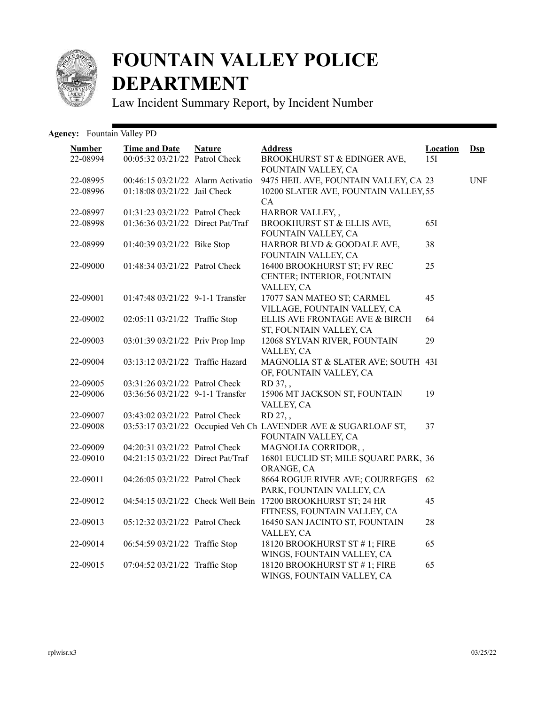

## **FOUNTAIN VALLEY POLICE DEPARTMENT**

Law Incident Summary Report, by Incident Number

## Agency: Fountain Valley PD

| <b>Number</b><br>22-08994 | <b>Time and Date</b><br>00:05:32 03/21/22 Patrol Check            | <b>Nature</b> | <b>Address</b><br>BROOKHURST ST & EDINGER AVE,                                                              | <b>Location</b><br>15I | $\mathbf{Dsp}$ |
|---------------------------|-------------------------------------------------------------------|---------------|-------------------------------------------------------------------------------------------------------------|------------------------|----------------|
| 22-08995<br>22-08996      | 00:46:15 03/21/22 Alarm Activatio<br>01:18:08 03/21/22 Jail Check |               | FOUNTAIN VALLEY, CA<br>9475 HEIL AVE, FOUNTAIN VALLEY, CA 23<br>10200 SLATER AVE, FOUNTAIN VALLEY, 55<br>CA |                        | <b>UNF</b>     |
| 22-08997                  | 01:31:23 03/21/22 Patrol Check                                    |               | HARBOR VALLEY,,                                                                                             |                        |                |
| 22-08998                  | 01:36:36 03/21/22 Direct Pat/Traf                                 |               | BROOKHURST ST & ELLIS AVE,<br>FOUNTAIN VALLEY, CA                                                           | 65I                    |                |
| 22-08999                  | 01:40:39 03/21/22 Bike Stop                                       |               | HARBOR BLVD & GOODALE AVE,<br>FOUNTAIN VALLEY, CA                                                           | 38                     |                |
| 22-09000                  | 01:48:34 03/21/22 Patrol Check                                    |               | 16400 BROOKHURST ST; FV REC<br>CENTER; INTERIOR, FOUNTAIN<br>VALLEY, CA                                     | 25                     |                |
| 22-09001                  | 01:47:48 03/21/22 9-1-1 Transfer                                  |               | 17077 SAN MATEO ST; CARMEL<br>VILLAGE, FOUNTAIN VALLEY, CA                                                  | 45                     |                |
| 22-09002                  | 02:05:11 03/21/22 Traffic Stop                                    |               | ELLIS AVE FRONTAGE AVE & BIRCH<br>ST, FOUNTAIN VALLEY, CA                                                   | 64                     |                |
| 22-09003                  | 03:01:39 03/21/22 Priv Prop Imp                                   |               | 12068 SYLVAN RIVER, FOUNTAIN<br>VALLEY, CA                                                                  | 29                     |                |
| 22-09004                  | 03:13:12 03/21/22 Traffic Hazard                                  |               | MAGNOLIA ST & SLATER AVE; SOUTH 43I<br>OF, FOUNTAIN VALLEY, CA                                              |                        |                |
| 22-09005                  | 03:31:26 03/21/22 Patrol Check                                    |               | RD 37,,                                                                                                     |                        |                |
| 22-09006                  | 03:36:56 03/21/22 9-1-1 Transfer                                  |               | 15906 MT JACKSON ST, FOUNTAIN<br>VALLEY, CA                                                                 | 19                     |                |
| 22-09007                  | 03:43:02 03/21/22 Patrol Check                                    |               | RD 27,,                                                                                                     |                        |                |
| 22-09008                  |                                                                   |               | 03:53:17 03/21/22 Occupied Veh Ch LAVENDER AVE & SUGARLOAF ST,<br>FOUNTAIN VALLEY, CA                       | 37                     |                |
| 22-09009                  | 04:20:31 03/21/22 Patrol Check                                    |               | MAGNOLIA CORRIDOR,,                                                                                         |                        |                |
| 22-09010                  | 04:21:15 03/21/22 Direct Pat/Traf                                 |               | 16801 EUCLID ST; MILE SQUARE PARK, 36<br>ORANGE, CA                                                         |                        |                |
| 22-09011                  | 04:26:05 03/21/22 Patrol Check                                    |               | 8664 ROGUE RIVER AVE; COURREGES<br>PARK, FOUNTAIN VALLEY, CA                                                | 62                     |                |
| 22-09012                  | 04:54:15 03/21/22 Check Well Bein                                 |               | 17200 BROOKHURST ST; 24 HR<br>FITNESS, FOUNTAIN VALLEY, CA                                                  | 45                     |                |
| 22-09013                  | 05:12:32 03/21/22 Patrol Check                                    |               | 16450 SAN JACINTO ST, FOUNTAIN<br>VALLEY, CA                                                                | 28                     |                |
| 22-09014                  | 06:54:59 03/21/22 Traffic Stop                                    |               | 18120 BROOKHURST ST #1; FIRE<br>WINGS, FOUNTAIN VALLEY, CA                                                  | 65                     |                |
| 22-09015                  | 07:04:52 03/21/22 Traffic Stop                                    |               | 18120 BROOKHURST ST #1; FIRE<br>WINGS, FOUNTAIN VALLEY, CA                                                  | 65                     |                |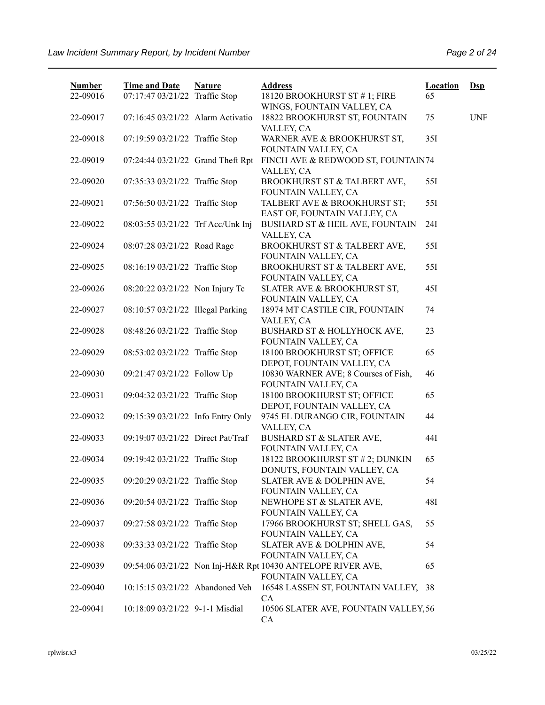| <b>Number</b> | <b>Time and Date</b>              | <b>Nature</b> | <b>Address</b>                                                                     | <b>Location</b> | $Dep$      |
|---------------|-----------------------------------|---------------|------------------------------------------------------------------------------------|-----------------|------------|
| 22-09016      | 07:17:47 03/21/22 Traffic Stop    |               | 18120 BROOKHURST ST #1; FIRE<br>WINGS, FOUNTAIN VALLEY, CA                         | 65              |            |
| 22-09017      | 07:16:45 03/21/22 Alarm Activatio |               | 18822 BROOKHURST ST, FOUNTAIN<br>VALLEY, CA                                        | 75              | <b>UNF</b> |
| 22-09018      | 07:19:59 03/21/22 Traffic Stop    |               | WARNER AVE & BROOKHURST ST,<br>FOUNTAIN VALLEY, CA                                 | 35I             |            |
| 22-09019      | 07:24:44 03/21/22 Grand Theft Rpt |               | FINCH AVE & REDWOOD ST, FOUNTAIN74<br>VALLEY, CA                                   |                 |            |
| 22-09020      | 07:35:33 03/21/22 Traffic Stop    |               | BROOKHURST ST & TALBERT AVE,<br>FOUNTAIN VALLEY, CA                                | 55I             |            |
| 22-09021      | 07:56:50 03/21/22 Traffic Stop    |               | TALBERT AVE & BROOKHURST ST;<br>EAST OF, FOUNTAIN VALLEY, CA                       | 551             |            |
| 22-09022      | 08:03:55 03/21/22 Trf Acc/Unk Inj |               | BUSHARD ST & HEIL AVE, FOUNTAIN<br>VALLEY, CA                                      | 24I             |            |
| 22-09024      | 08:07:28 03/21/22 Road Rage       |               | BROOKHURST ST & TALBERT AVE,<br>FOUNTAIN VALLEY, CA                                | 55I             |            |
| 22-09025      | 08:16:19 03/21/22 Traffic Stop    |               | BROOKHURST ST & TALBERT AVE,<br>FOUNTAIN VALLEY, CA                                | 551             |            |
| 22-09026      | 08:20:22 03/21/22 Non Injury Tc   |               | SLATER AVE & BROOKHURST ST,<br>FOUNTAIN VALLEY, CA                                 | 45I             |            |
| 22-09027      | 08:10:57 03/21/22 Illegal Parking |               | 18974 MT CASTILE CIR, FOUNTAIN<br>VALLEY, CA                                       | 74              |            |
| 22-09028      | 08:48:26 03/21/22 Traffic Stop    |               | BUSHARD ST & HOLLYHOCK AVE,<br>FOUNTAIN VALLEY, CA                                 | 23              |            |
| 22-09029      | 08:53:02 03/21/22 Traffic Stop    |               | 18100 BROOKHURST ST; OFFICE<br>DEPOT, FOUNTAIN VALLEY, CA                          | 65              |            |
| 22-09030      | 09:21:47 03/21/22 Follow Up       |               | 10830 WARNER AVE; 8 Courses of Fish,<br>FOUNTAIN VALLEY, CA                        | 46              |            |
| 22-09031      | 09:04:32 03/21/22 Traffic Stop    |               | 18100 BROOKHURST ST; OFFICE<br>DEPOT, FOUNTAIN VALLEY, CA                          | 65              |            |
| 22-09032      | 09:15:39 03/21/22 Info Entry Only |               | 9745 EL DURANGO CIR, FOUNTAIN<br>VALLEY, CA                                        | 44              |            |
| 22-09033      | 09:19:07 03/21/22 Direct Pat/Traf |               | BUSHARD ST & SLATER AVE,<br>FOUNTAIN VALLEY, CA                                    | 44I             |            |
| 22-09034      | 09:19:42 03/21/22 Traffic Stop    |               | 18122 BROOKHURST ST # 2; DUNKIN<br>DONUTS, FOUNTAIN VALLEY, CA                     | 65              |            |
| 22-09035      | 09:20:29 03/21/22 Traffic Stop    |               | SLATER AVE & DOLPHIN AVE,<br>FOUNTAIN VALLEY, CA                                   | 54              |            |
| 22-09036      | 09:20:54 03/21/22 Traffic Stop    |               | NEWHOPE ST & SLATER AVE,<br>FOUNTAIN VALLEY, CA                                    | 48I             |            |
| 22-09037      | 09:27:58 03/21/22 Traffic Stop    |               | 17966 BROOKHURST ST; SHELL GAS,<br>FOUNTAIN VALLEY, CA                             | 55              |            |
| 22-09038      | 09:33:33 03/21/22 Traffic Stop    |               | SLATER AVE & DOLPHIN AVE,<br>FOUNTAIN VALLEY, CA                                   | 54              |            |
| 22-09039      |                                   |               | 09:54:06 03/21/22 Non Inj-H&R Rpt 10430 ANTELOPE RIVER AVE,<br>FOUNTAIN VALLEY, CA | 65              |            |
| 22-09040      | 10:15:15 03/21/22 Abandoned Veh   |               | 16548 LASSEN ST, FOUNTAIN VALLEY, 38<br>CA                                         |                 |            |
| 22-09041      | 10:18:09 03/21/22 9-1-1 Misdial   |               | 10506 SLATER AVE, FOUNTAIN VALLEY, 56<br>CA                                        |                 |            |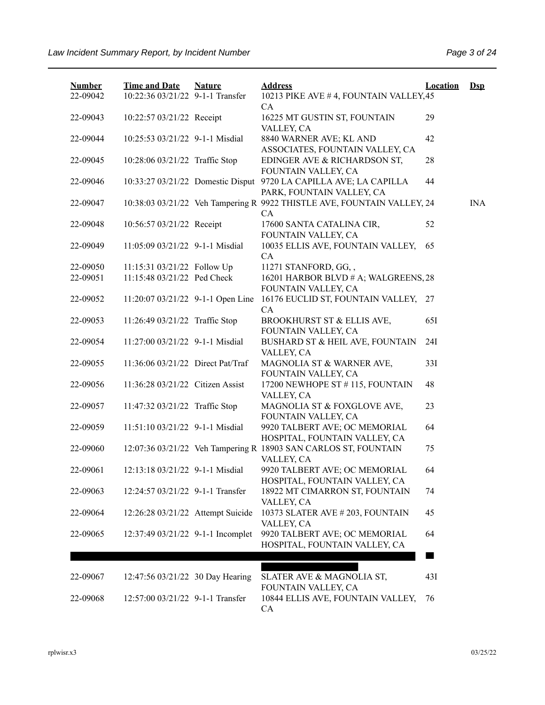| <b>Number</b><br>22-09042 | <b>Time and Date</b><br>10:22:36 03/21/22 9-1-1 Transfer | <b>Nature</b> | <b>Address</b><br>10213 PIKE AVE #4, FOUNTAIN VALLEY, 45                                       | <b>Location</b> | $\mathbf{Dsp}$ |
|---------------------------|----------------------------------------------------------|---------------|------------------------------------------------------------------------------------------------|-----------------|----------------|
| 22-09043                  | 10:22:57 03/21/22 Receipt                                |               | CA<br>16225 MT GUSTIN ST, FOUNTAIN<br>VALLEY, CA                                               | 29              |                |
| 22-09044                  | 10:25:53 03/21/22 9-1-1 Misdial                          |               | 8840 WARNER AVE; KL AND<br>ASSOCIATES, FOUNTAIN VALLEY, CA                                     | 42              |                |
| 22-09045                  | 10:28:06 03/21/22 Traffic Stop                           |               | EDINGER AVE & RICHARDSON ST,<br>FOUNTAIN VALLEY, CA                                            | 28              |                |
| 22-09046                  |                                                          |               | 10:33:27 03/21/22 Domestic Disput 9720 LA CAPILLA AVE; LA CAPILLA<br>PARK, FOUNTAIN VALLEY, CA | 44              |                |
| 22-09047                  |                                                          |               | 10:38:03 03/21/22 Veh Tampering R 9922 THISTLE AVE, FOUNTAIN VALLEY, 24<br>CA                  |                 | <b>INA</b>     |
| 22-09048                  | 10:56:57 03/21/22 Receipt                                |               | 17600 SANTA CATALINA CIR,<br>FOUNTAIN VALLEY, CA                                               | 52              |                |
| 22-09049                  | 11:05:09 03/21/22 9-1-1 Misdial                          |               | 10035 ELLIS AVE, FOUNTAIN VALLEY,<br>CA                                                        | 65              |                |
| 22-09050                  | 11:15:31 03/21/22 Follow Up                              |               | 11271 STANFORD, GG,,                                                                           |                 |                |
| 22-09051                  | 11:15:48 03/21/22 Ped Check                              |               | 16201 HARBOR BLVD # A; WALGREENS, 28<br>FOUNTAIN VALLEY, CA                                    |                 |                |
| 22-09052                  | 11:20:07 03/21/22 9-1-1 Open Line                        |               | 16176 EUCLID ST, FOUNTAIN VALLEY, 27<br>CA                                                     |                 |                |
| 22-09053                  | 11:26:49 03/21/22 Traffic Stop                           |               | BROOKHURST ST & ELLIS AVE,<br>FOUNTAIN VALLEY, CA                                              | 651             |                |
| 22-09054                  | 11:27:00 03/21/22 9-1-1 Misdial                          |               | BUSHARD ST & HEIL AVE, FOUNTAIN<br>VALLEY, CA                                                  | 24I             |                |
| 22-09055                  | 11:36:06 03/21/22 Direct Pat/Traf                        |               | MAGNOLIA ST & WARNER AVE,<br>FOUNTAIN VALLEY, CA                                               | 33I             |                |
| 22-09056                  | 11:36:28 03/21/22 Citizen Assist                         |               | 17200 NEWHOPE ST # 115, FOUNTAIN<br>VALLEY, CA                                                 | 48              |                |
| 22-09057                  | 11:47:32 03/21/22 Traffic Stop                           |               | MAGNOLIA ST & FOXGLOVE AVE,<br>FOUNTAIN VALLEY, CA                                             | 23              |                |
| 22-09059                  | 11:51:10 03/21/22 9-1-1 Misdial                          |               | 9920 TALBERT AVE; OC MEMORIAL<br>HOSPITAL, FOUNTAIN VALLEY, CA                                 | 64              |                |
| 22-09060                  |                                                          |               | 12:07:36 03/21/22 Veh Tampering R 18903 SAN CARLOS ST, FOUNTAIN<br>VALLEY, CA                  | 75              |                |
| 22-09061                  | 12:13:18 03/21/22 9-1-1 Misdial                          |               | 9920 TALBERT AVE; OC MEMORIAL<br>HOSPITAL, FOUNTAIN VALLEY, CA                                 | 64              |                |
| 22-09063                  | 12:24:57 03/21/22 9-1-1 Transfer                         |               | 18922 MT CIMARRON ST, FOUNTAIN<br>VALLEY, CA                                                   | 74              |                |
| 22-09064                  | 12:26:28 03/21/22 Attempt Suicide                        |               | 10373 SLATER AVE # 203, FOUNTAIN<br>VALLEY, CA                                                 | 45              |                |
| 22-09065                  | 12:37:49 03/21/22 9-1-1 Incomplet                        |               | 9920 TALBERT AVE; OC MEMORIAL<br>HOSPITAL, FOUNTAIN VALLEY, CA                                 | 64              |                |
|                           |                                                          |               |                                                                                                |                 |                |
| 22-09067                  | 12:47:56 03/21/22 30 Day Hearing                         |               | SLATER AVE & MAGNOLIA ST,<br>FOUNTAIN VALLEY, CA                                               | 43I             |                |
| 22-09068                  | 12:57:00 03/21/22 9-1-1 Transfer                         |               | 10844 ELLIS AVE, FOUNTAIN VALLEY,<br>CA                                                        | 76              |                |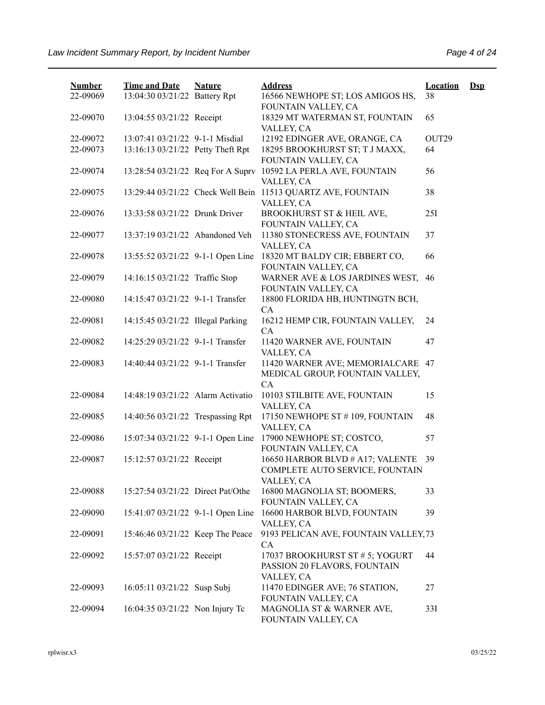| <b>Number</b> | <b>Time and Date</b>              | <b>Nature</b> | <b>Address</b>                                                                    | <b>Location</b> | $\mathbf{Dsp}$ |
|---------------|-----------------------------------|---------------|-----------------------------------------------------------------------------------|-----------------|----------------|
| 22-09069      | 13:04:30 03/21/22 Battery Rpt     |               | 16566 NEWHOPE ST; LOS AMIGOS HS,<br>FOUNTAIN VALLEY, CA                           | 38              |                |
| 22-09070      | 13:04:55 03/21/22 Receipt         |               | 18329 MT WATERMAN ST, FOUNTAIN<br>VALLEY, CA                                      | 65              |                |
| 22-09072      | 13:07:41 03/21/22 9-1-1 Misdial   |               | 12192 EDINGER AVE, ORANGE, CA                                                     | OUT29           |                |
| 22-09073      | 13:16:13 03/21/22 Petty Theft Rpt |               | 18295 BROOKHURST ST; T J MAXX,<br>FOUNTAIN VALLEY, CA                             | 64              |                |
| 22-09074      | 13:28:54 03/21/22 Req For A Suprv |               | 10592 LA PERLA AVE, FOUNTAIN<br>VALLEY, CA                                        | 56              |                |
| 22-09075      |                                   |               | 13:29:44 03/21/22 Check Well Bein 11513 QUARTZ AVE, FOUNTAIN<br>VALLEY, CA        | 38              |                |
| 22-09076      | 13:33:58 03/21/22 Drunk Driver    |               | BROOKHURST ST & HEIL AVE,<br>FOUNTAIN VALLEY, CA                                  | 251             |                |
| 22-09077      | 13:37:19 03/21/22 Abandoned Veh   |               | 11380 STONECRESS AVE, FOUNTAIN<br>VALLEY, CA                                      | 37              |                |
| 22-09078      | 13:55:52 03/21/22 9-1-1 Open Line |               | 18320 MT BALDY CIR; EBBERT CO,<br>FOUNTAIN VALLEY, CA                             | 66              |                |
| 22-09079      | 14:16:15 03/21/22 Traffic Stop    |               | WARNER AVE & LOS JARDINES WEST,<br>FOUNTAIN VALLEY, CA                            | 46              |                |
| 22-09080      | 14:15:47 03/21/22 9-1-1 Transfer  |               | 18800 FLORIDA HB, HUNTINGTN BCH,<br>CA                                            |                 |                |
| 22-09081      | 14:15:45 03/21/22 Illegal Parking |               | 16212 HEMP CIR, FOUNTAIN VALLEY,<br>CA                                            | 24              |                |
| 22-09082      | 14:25:29 03/21/22 9-1-1 Transfer  |               | 11420 WARNER AVE, FOUNTAIN<br>VALLEY, CA                                          | 47              |                |
| 22-09083      | 14:40:44 03/21/22 9-1-1 Transfer  |               | 11420 WARNER AVE; MEMORIALCARE<br>MEDICAL GROUP, FOUNTAIN VALLEY,<br>CA           | 47              |                |
| 22-09084      | 14:48:19 03/21/22 Alarm Activatio |               | 10103 STILBITE AVE, FOUNTAIN<br>VALLEY, CA                                        | 15              |                |
| 22-09085      | 14:40:56 03/21/22 Trespassing Rpt |               | 17150 NEWHOPE ST #109, FOUNTAIN<br>VALLEY, CA                                     | 48              |                |
| 22-09086      | 15:07:34 03/21/22 9-1-1 Open Line |               | 17900 NEWHOPE ST; COSTCO,<br>FOUNTAIN VALLEY, CA                                  | 57              |                |
| 22-09087      | 15:12:57 03/21/22 Receipt         |               | 16650 HARBOR BLVD # A17; VALENTE<br>COMPLETE AUTO SERVICE, FOUNTAIN<br>VALLEY, CA | 39              |                |
| 22-09088      | 15:27:54 03/21/22 Direct Pat/Othe |               | 16800 MAGNOLIA ST; BOOMERS,<br>FOUNTAIN VALLEY, CA                                | 33              |                |
| 22-09090      | 15:41:07 03/21/22 9-1-1 Open Line |               | 16600 HARBOR BLVD, FOUNTAIN<br>VALLEY, CA                                         | 39              |                |
| 22-09091      | 15:46:46 03/21/22 Keep The Peace  |               | 9193 PELICAN AVE, FOUNTAIN VALLEY, 73<br>CA                                       |                 |                |
| 22-09092      | 15:57:07 03/21/22 Receipt         |               | 17037 BROOKHURST ST # 5; YOGURT<br>PASSION 20 FLAVORS, FOUNTAIN<br>VALLEY, CA     | 44              |                |
| 22-09093      | 16:05:11 03/21/22 Susp Subj       |               | 11470 EDINGER AVE; 76 STATION,<br>FOUNTAIN VALLEY, CA                             | 27              |                |
| 22-09094      | 16:04:35 03/21/22 Non Injury Tc   |               | MAGNOLIA ST & WARNER AVE,<br>FOUNTAIN VALLEY, CA                                  | 33I             |                |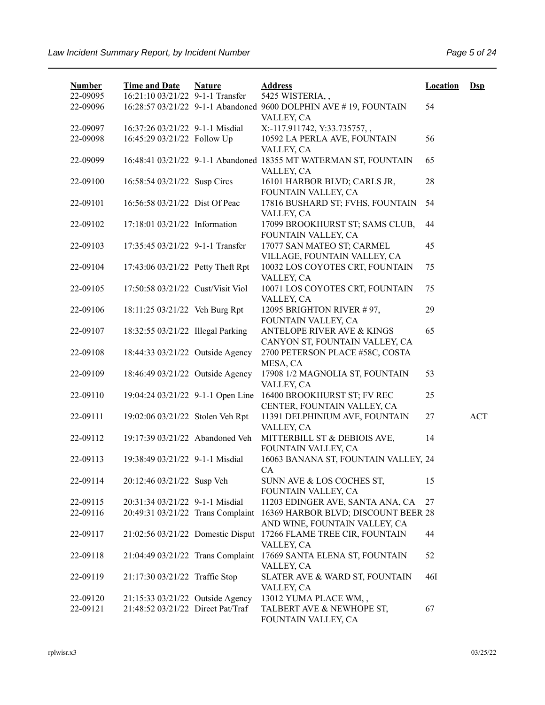| <b>Number</b><br>22-09095 | <b>Time and Date</b><br>16:21:10 03/21/22 9-1-1 Transfer | <b>Nature</b> | <b>Address</b><br>5425 WISTERIA,,                                              | <b>Location</b> | $\mathbf{Dsp}$ |
|---------------------------|----------------------------------------------------------|---------------|--------------------------------------------------------------------------------|-----------------|----------------|
| 22-09096                  |                                                          |               | 16:28:57 03/21/22 9-1-1 Abandoned 9600 DOLPHIN AVE #19, FOUNTAIN<br>VALLEY, CA | 54              |                |
| 22-09097                  | 16:37:26 03/21/22 9-1-1 Misdial                          |               | X:-117.911742, Y:33.735757,,                                                   |                 |                |
| 22-09098                  | 16:45:29 03/21/22 Follow Up                              |               | 10592 LA PERLA AVE, FOUNTAIN<br>VALLEY, CA                                     | 56              |                |
| 22-09099                  |                                                          |               | 16:48:41 03/21/22 9-1-1 Abandoned 18355 MT WATERMAN ST, FOUNTAIN<br>VALLEY, CA | 65              |                |
| 22-09100                  | 16:58:54 03/21/22 Susp Circs                             |               | 16101 HARBOR BLVD; CARLS JR,<br>FOUNTAIN VALLEY, CA                            | 28              |                |
| 22-09101                  | 16:56:58 03/21/22 Dist Of Peac                           |               | 17816 BUSHARD ST; FVHS, FOUNTAIN<br>VALLEY, CA                                 | 54              |                |
| 22-09102                  | 17:18:01 03/21/22 Information                            |               | 17099 BROOKHURST ST; SAMS CLUB,<br>FOUNTAIN VALLEY, CA                         | 44              |                |
| 22-09103                  | 17:35:45 03/21/22 9-1-1 Transfer                         |               | 17077 SAN MATEO ST; CARMEL<br>VILLAGE, FOUNTAIN VALLEY, CA                     | 45              |                |
| 22-09104                  | 17:43:06 03/21/22 Petty Theft Rpt                        |               | 10032 LOS COYOTES CRT, FOUNTAIN<br>VALLEY, CA                                  | 75              |                |
| 22-09105                  | 17:50:58 03/21/22 Cust/Visit Viol                        |               | 10071 LOS COYOTES CRT, FOUNTAIN<br>VALLEY, CA                                  | 75              |                |
| 22-09106                  | 18:11:25 03/21/22 Veh Burg Rpt                           |               | 12095 BRIGHTON RIVER #97,<br>FOUNTAIN VALLEY, CA                               | 29              |                |
| 22-09107                  | 18:32:55 03/21/22 Illegal Parking                        |               | <b>ANTELOPE RIVER AVE &amp; KINGS</b><br>CANYON ST, FOUNTAIN VALLEY, CA        | 65              |                |
| 22-09108                  | 18:44:33 03/21/22 Outside Agency                         |               | 2700 PETERSON PLACE #58C, COSTA<br>MESA, CA                                    |                 |                |
| 22-09109                  | 18:46:49 03/21/22 Outside Agency                         |               | 17908 1/2 MAGNOLIA ST, FOUNTAIN<br>VALLEY, CA                                  | 53              |                |
| 22-09110                  | 19:04:24 03/21/22 9-1-1 Open Line                        |               | 16400 BROOKHURST ST; FV REC<br>CENTER, FOUNTAIN VALLEY, CA                     | 25              |                |
| 22-09111                  | 19:02:06 03/21/22 Stolen Veh Rpt                         |               | 11391 DELPHINIUM AVE, FOUNTAIN<br>VALLEY, CA                                   | 27              | <b>ACT</b>     |
| 22-09112                  | 19:17:39 03/21/22 Abandoned Veh                          |               | MITTERBILL ST & DEBIOIS AVE,<br>FOUNTAIN VALLEY, CA                            | 14              |                |
| 22-09113                  | 19:38:49 03/21/22 9-1-1 Misdial                          |               | 16063 BANANA ST, FOUNTAIN VALLEY, 24<br><b>CA</b>                              |                 |                |
| 22-09114                  | 20:12:46 03/21/22 Susp Veh                               |               | SUNN AVE & LOS COCHES ST,<br>FOUNTAIN VALLEY, CA                               | 15              |                |
| 22-09115                  | 20:31:34 03/21/22 9-1-1 Misdial                          |               | 11203 EDINGER AVE, SANTA ANA, CA                                               | 27              |                |
| 22-09116                  | 20:49:31 03/21/22 Trans Complaint                        |               | 16369 HARBOR BLVD; DISCOUNT BEER 28<br>AND WINE, FOUNTAIN VALLEY, CA           |                 |                |
| 22-09117                  | 21:02:56 03/21/22 Domestic Disput                        |               | 17266 FLAME TREE CIR, FOUNTAIN<br>VALLEY, CA                                   | 44              |                |
| 22-09118                  | 21:04:49 03/21/22 Trans Complaint                        |               | 17669 SANTA ELENA ST, FOUNTAIN<br>VALLEY, CA                                   | 52              |                |
| 22-09119                  | 21:17:30 03/21/22 Traffic Stop                           |               | SLATER AVE & WARD ST, FOUNTAIN<br>VALLEY, CA                                   | 46I             |                |
| 22-09120                  | 21:15:33 03/21/22 Outside Agency                         |               | 13012 YUMA PLACE WM,,                                                          |                 |                |
| 22-09121                  | 21:48:52 03/21/22 Direct Pat/Traf                        |               | TALBERT AVE & NEWHOPE ST,<br>FOUNTAIN VALLEY, CA                               | 67              |                |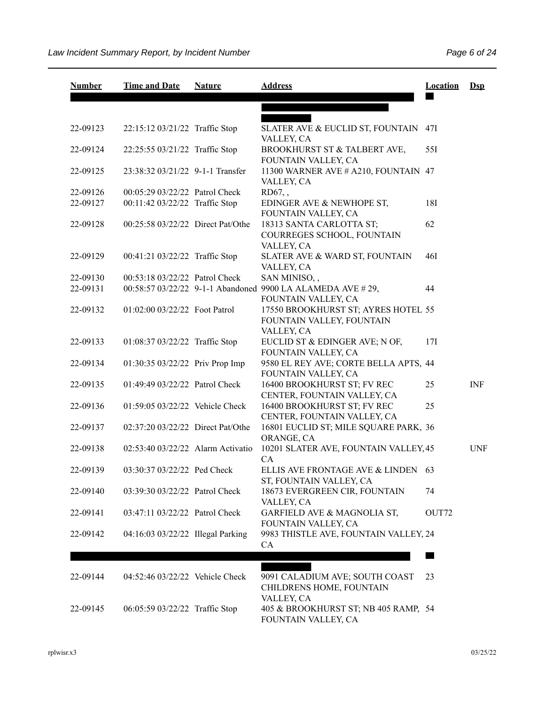| <b>Number</b> | <b>Time and Date</b>              | <b>Nature</b> | <b>Address</b>                                                                    | <b>Location</b> | $Dep$      |
|---------------|-----------------------------------|---------------|-----------------------------------------------------------------------------------|-----------------|------------|
|               |                                   |               |                                                                                   |                 |            |
| 22-09123      | 22:15:12 03/21/22 Traffic Stop    |               | SLATER AVE & EUCLID ST, FOUNTAIN<br>VALLEY, CA                                    | 471             |            |
| 22-09124      | 22:25:55 03/21/22 Traffic Stop    |               | BROOKHURST ST & TALBERT AVE,<br>FOUNTAIN VALLEY, CA                               | 55I             |            |
| 22-09125      | 23:38:32 03/21/22 9-1-1 Transfer  |               | 11300 WARNER AVE # A210, FOUNTAIN 47<br>VALLEY, CA                                |                 |            |
| 22-09126      | 00:05:29 03/22/22 Patrol Check    |               | $RD67,$ ,                                                                         |                 |            |
| 22-09127      | 00:11:42 03/22/22 Traffic Stop    |               | EDINGER AVE & NEWHOPE ST,<br>FOUNTAIN VALLEY, CA                                  | 18I             |            |
| 22-09128      | 00:25:58 03/22/22 Direct Pat/Othe |               | 18313 SANTA CARLOTTA ST;<br>COURREGES SCHOOL, FOUNTAIN<br>VALLEY, CA              | 62              |            |
| 22-09129      | 00:41:21 03/22/22 Traffic Stop    |               | SLATER AVE & WARD ST, FOUNTAIN<br>VALLEY, CA                                      | 46I             |            |
| 22-09130      | 00:53:18 03/22/22 Patrol Check    |               | SAN MINISO,,                                                                      |                 |            |
| 22-09131      |                                   |               | 00:58:57 03/22/22 9-1-1 Abandoned 9900 LA ALAMEDA AVE #29,<br>FOUNTAIN VALLEY, CA | 44              |            |
| 22-09132      | 01:02:00 03/22/22 Foot Patrol     |               | 17550 BROOKHURST ST; AYRES HOTEL 55<br>FOUNTAIN VALLEY, FOUNTAIN<br>VALLEY, CA    |                 |            |
| 22-09133      | 01:08:37 03/22/22 Traffic Stop    |               | EUCLID ST & EDINGER AVE; N OF,<br>FOUNTAIN VALLEY, CA                             | 17I             |            |
| 22-09134      | 01:30:35 03/22/22 Priv Prop Imp   |               | 9580 EL REY AVE; CORTE BELLA APTS, 44<br>FOUNTAIN VALLEY, CA                      |                 |            |
| 22-09135      | 01:49:49 03/22/22 Patrol Check    |               | 16400 BROOKHURST ST; FV REC<br>CENTER, FOUNTAIN VALLEY, CA                        | 25              | <b>INF</b> |
| 22-09136      | 01:59:05 03/22/22 Vehicle Check   |               | 16400 BROOKHURST ST; FV REC<br>CENTER, FOUNTAIN VALLEY, CA                        | 25              |            |
| 22-09137      | 02:37:20 03/22/22 Direct Pat/Othe |               | 16801 EUCLID ST; MILE SQUARE PARK, 36<br>ORANGE, CA                               |                 |            |
| 22-09138      | 02:53:40 03/22/22 Alarm Activatio |               | 10201 SLATER AVE, FOUNTAIN VALLEY, 45<br>CA                                       |                 | <b>UNF</b> |
| 22-09139      | 03:30:37 03/22/22 Ped Check       |               | ELLIS AVE FRONTAGE AVE & LINDEN 63<br>ST, FOUNTAIN VALLEY, CA                     |                 |            |
| 22-09140      | 03:39:30 03/22/22 Patrol Check    |               | 18673 EVERGREEN CIR, FOUNTAIN<br>VALLEY, CA                                       | 74              |            |
| 22-09141      | 03:47:11 03/22/22 Patrol Check    |               | GARFIELD AVE & MAGNOLIA ST,<br>FOUNTAIN VALLEY, CA                                | OUT72           |            |
| 22-09142      | 04:16:03 03/22/22 Illegal Parking |               | 9983 THISTLE AVE, FOUNTAIN VALLEY, 24<br>CA                                       |                 |            |
|               |                                   |               |                                                                                   |                 |            |
| 22-09144      | 04:52:46 03/22/22 Vehicle Check   |               | 9091 CALADIUM AVE; SOUTH COAST<br>CHILDRENS HOME, FOUNTAIN                        | 23              |            |
| 22-09145      | 06:05:59 03/22/22 Traffic Stop    |               | VALLEY, CA<br>405 & BROOKHURST ST; NB 405 RAMP, 54<br>FOUNTAIN VALLEY, CA         |                 |            |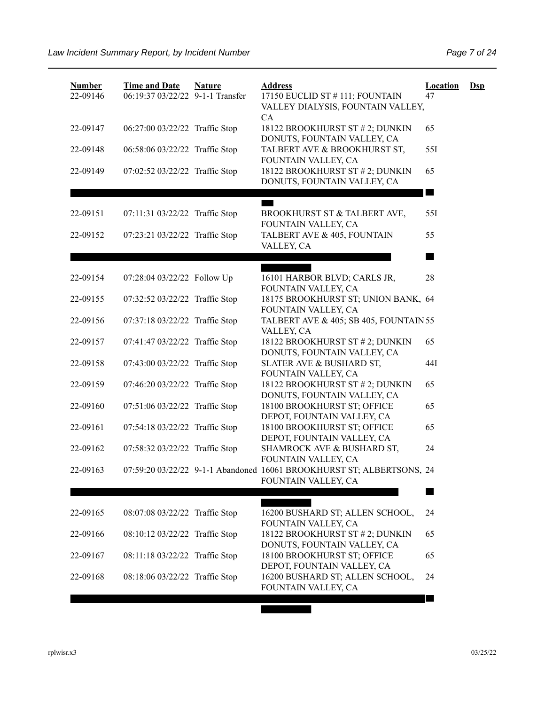| <b>Number</b><br>22-09146 | <b>Time and Date</b><br>06:19:37 03/22/22 9-1-1 Transfer | <b>Nature</b> | <b>Address</b><br>17150 EUCLID ST # 111; FOUNTAIN<br>VALLEY DIALYSIS, FOUNTAIN VALLEY,<br>CA | <b>Location</b><br>47 | $\mathbf{Dsp}$ |
|---------------------------|----------------------------------------------------------|---------------|----------------------------------------------------------------------------------------------|-----------------------|----------------|
| 22-09147                  | 06:27:00 03/22/22 Traffic Stop                           |               | 18122 BROOKHURST ST # 2; DUNKIN<br>DONUTS, FOUNTAIN VALLEY, CA                               | 65                    |                |
| 22-09148                  | 06:58:06 03/22/22 Traffic Stop                           |               | TALBERT AVE & BROOKHURST ST,<br>FOUNTAIN VALLEY, CA                                          | 551                   |                |
| 22-09149                  | 07:02:52 03/22/22 Traffic Stop                           |               | 18122 BROOKHURST ST # 2; DUNKIN<br>DONUTS, FOUNTAIN VALLEY, CA                               | 65<br>a s             |                |
| 22-09151                  | 07:11:31 03/22/22 Traffic Stop                           |               | BROOKHURST ST & TALBERT AVE,<br>FOUNTAIN VALLEY, CA                                          | 551                   |                |
| 22-09152                  | 07:23:21 03/22/22 Traffic Stop                           |               | TALBERT AVE & 405, FOUNTAIN<br>VALLEY, CA                                                    | 55                    |                |
|                           |                                                          |               |                                                                                              |                       |                |
| 22-09154                  | 07:28:04 03/22/22 Follow Up                              |               | 16101 HARBOR BLVD; CARLS JR,<br>FOUNTAIN VALLEY, CA                                          | 28                    |                |
| 22-09155                  | 07:32:52 03/22/22 Traffic Stop                           |               | 18175 BROOKHURST ST; UNION BANK, 64<br>FOUNTAIN VALLEY, CA                                   |                       |                |
| 22-09156                  | 07:37:18 03/22/22 Traffic Stop                           |               | TALBERT AVE & 405; SB 405, FOUNTAIN 55<br>VALLEY, CA                                         |                       |                |
| 22-09157                  | 07:41:47 03/22/22 Traffic Stop                           |               | 18122 BROOKHURST ST # 2; DUNKIN<br>DONUTS, FOUNTAIN VALLEY, CA                               | 65                    |                |
| 22-09158                  | 07:43:00 03/22/22 Traffic Stop                           |               | SLATER AVE & BUSHARD ST,<br>FOUNTAIN VALLEY, CA                                              | 44I                   |                |
| 22-09159                  | 07:46:20 03/22/22 Traffic Stop                           |               | 18122 BROOKHURST ST # 2; DUNKIN<br>DONUTS, FOUNTAIN VALLEY, CA                               | 65                    |                |
| 22-09160                  | 07:51:06 03/22/22 Traffic Stop                           |               | 18100 BROOKHURST ST; OFFICE<br>DEPOT, FOUNTAIN VALLEY, CA                                    | 65                    |                |
| 22-09161                  | 07:54:18 03/22/22 Traffic Stop                           |               | 18100 BROOKHURST ST; OFFICE<br>DEPOT, FOUNTAIN VALLEY, CA                                    | 65                    |                |
| 22-09162                  | 07:58:32 03/22/22 Traffic Stop                           |               | SHAMROCK AVE & BUSHARD ST,<br>FOUNTAIN VALLEY, CA                                            | 24                    |                |
| 22-09163                  |                                                          |               | 07:59:20 03/22/22 9-1-1 Abandoned 16061 BROOKHURST ST; ALBERTSONS, 24<br>FOUNTAIN VALLEY, CA |                       |                |
|                           |                                                          |               |                                                                                              |                       |                |
| 22-09165                  | 08:07:08 03/22/22 Traffic Stop                           |               | 16200 BUSHARD ST; ALLEN SCHOOL,<br>FOUNTAIN VALLEY, CA                                       | 24                    |                |
| 22-09166                  | 08:10:12 03/22/22 Traffic Stop                           |               | 18122 BROOKHURST ST # 2; DUNKIN<br>DONUTS, FOUNTAIN VALLEY, CA                               | 65                    |                |
| 22-09167                  | 08:11:18 03/22/22 Traffic Stop                           |               | 18100 BROOKHURST ST; OFFICE<br>DEPOT, FOUNTAIN VALLEY, CA                                    | 65                    |                |
| 22-09168                  | 08:18:06 03/22/22 Traffic Stop                           |               | 16200 BUSHARD ST; ALLEN SCHOOL,<br>FOUNTAIN VALLEY, CA                                       | 24                    |                |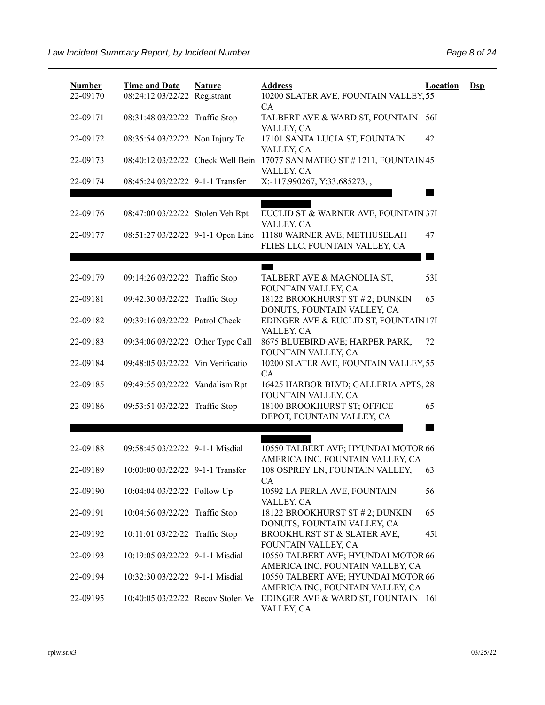| <b>Number</b><br>22-09170 | <b>Time and Date</b><br>08:24:12 03/22/22 Registrant | <b>Nature</b> | <b>Address</b><br>10200 SLATER AVE, FOUNTAIN VALLEY, 55<br>CA           | <b>Location</b> | $\mathbf{Dsp}$ |
|---------------------------|------------------------------------------------------|---------------|-------------------------------------------------------------------------|-----------------|----------------|
| 22-09171                  | 08:31:48 03/22/22 Traffic Stop                       |               | TALBERT AVE & WARD ST, FOUNTAIN<br>VALLEY, CA                           | 56I             |                |
| 22-09172                  | 08:35:54 03/22/22 Non Injury Tc                      |               | 17101 SANTA LUCIA ST, FOUNTAIN<br>VALLEY, CA                            | 42              |                |
| 22-09173                  | 08:40:12 03/22/22 Check Well Bein                    |               | 17077 SAN MATEO ST # 1211, FOUNTAIN 45<br>VALLEY, CA                    |                 |                |
| 22-09174                  | 08:45:24 03/22/22 9-1-1 Transfer                     |               | X:-117.990267, Y:33.685273,,                                            |                 |                |
| 22-09176                  | 08:47:00 03/22/22 Stolen Veh Rpt                     |               | EUCLID ST & WARNER AVE, FOUNTAIN 37I<br>VALLEY, CA                      |                 |                |
| 22-09177                  | 08:51:27 03/22/22 9-1-1 Open Line                    |               | 11180 WARNER AVE; METHUSELAH<br>FLIES LLC, FOUNTAIN VALLEY, CA          | 47              |                |
|                           |                                                      |               |                                                                         |                 |                |
| 22-09179                  | 09:14:26 03/22/22 Traffic Stop                       |               | TALBERT AVE & MAGNOLIA ST,<br>FOUNTAIN VALLEY, CA                       | 53I             |                |
| 22-09181                  | 09:42:30 03/22/22 Traffic Stop                       |               | 18122 BROOKHURST ST # 2; DUNKIN<br>DONUTS, FOUNTAIN VALLEY, CA          | 65              |                |
| 22-09182                  | 09:39:16 03/22/22 Patrol Check                       |               | EDINGER AVE & EUCLID ST, FOUNTAIN 17I<br>VALLEY, CA                     |                 |                |
| 22-09183                  | 09:34:06 03/22/22 Other Type Call                    |               | 8675 BLUEBIRD AVE; HARPER PARK,<br>FOUNTAIN VALLEY, CA                  | 72              |                |
| 22-09184                  | 09:48:05 03/22/22 Vin Verificatio                    |               | 10200 SLATER AVE, FOUNTAIN VALLEY, 55<br>CA                             |                 |                |
| 22-09185                  | 09:49:55 03/22/22 Vandalism Rpt                      |               | 16425 HARBOR BLVD; GALLERIA APTS, 28<br>FOUNTAIN VALLEY, CA             |                 |                |
| 22-09186                  | 09:53:51 03/22/22 Traffic Stop                       |               | 18100 BROOKHURST ST; OFFICE<br>DEPOT, FOUNTAIN VALLEY, CA               | 65              |                |
|                           |                                                      |               |                                                                         |                 |                |
| 22-09188                  | 09:58:45 03/22/22 9-1-1 Misdial                      |               | 10550 TALBERT AVE; HYUNDAI MOTOR 66<br>AMERICA INC, FOUNTAIN VALLEY, CA |                 |                |
| 22-09189                  | 10:00:00 03/22/22 9-1-1 Transfer                     |               | 108 OSPREY LN, FOUNTAIN VALLEY,<br>СA                                   | 63              |                |
| 22-09190                  | 10:04:04 03/22/22 Follow Up                          |               | 10592 LA PERLA AVE, FOUNTAIN<br>VALLEY, CA                              | 56              |                |
| 22-09191                  | 10:04:56 03/22/22 Traffic Stop                       |               | 18122 BROOKHURST ST # 2; DUNKIN<br>DONUTS, FOUNTAIN VALLEY, CA          | 65              |                |
| 22-09192                  | 10:11:01 03/22/22 Traffic Stop                       |               | BROOKHURST ST & SLATER AVE,<br>FOUNTAIN VALLEY, CA                      | 45I             |                |
| 22-09193                  | 10:19:05 03/22/22 9-1-1 Misdial                      |               | 10550 TALBERT AVE; HYUNDAI MOTOR 66<br>AMERICA INC, FOUNTAIN VALLEY, CA |                 |                |
| 22-09194                  | 10:32:30 03/22/22 9-1-1 Misdial                      |               | 10550 TALBERT AVE; HYUNDAI MOTOR 66<br>AMERICA INC, FOUNTAIN VALLEY, CA |                 |                |
| 22-09195                  | 10:40:05 03/22/22 Recov Stolen Ve                    |               | EDINGER AVE & WARD ST, FOUNTAIN 16I<br>VALLEY, CA                       |                 |                |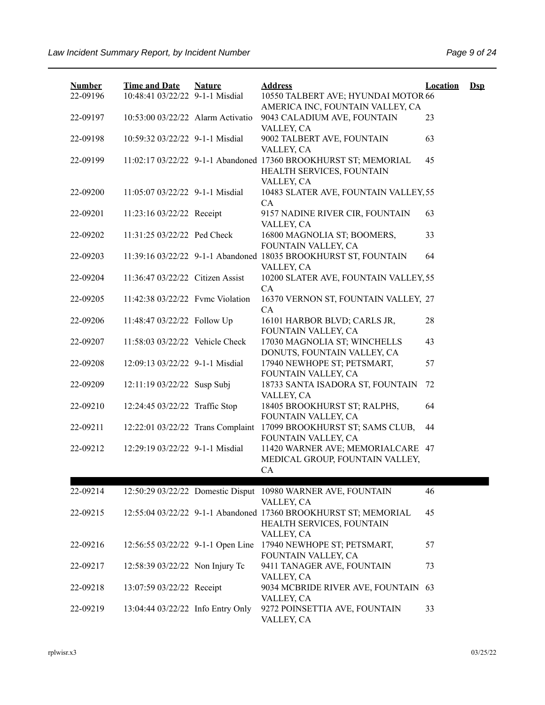| <b>Number</b><br>22-09196 | <b>Time and Date</b><br>10:48:41 03/22/22 9-1-1 Misdial            | <b>Nature</b> | <b>Address</b><br>10550 TALBERT AVE; HYUNDAI MOTOR 66                                                      | <b>Location</b> | $\mathbf{Dsp}$ |
|---------------------------|--------------------------------------------------------------------|---------------|------------------------------------------------------------------------------------------------------------|-----------------|----------------|
| 22-09197                  | 10:53:00 03/22/22 Alarm Activatio                                  |               | AMERICA INC, FOUNTAIN VALLEY, CA<br>9043 CALADIUM AVE, FOUNTAIN<br>VALLEY, CA                              | 23              |                |
| 22-09198                  | 10:59:32 03/22/22 9-1-1 Misdial                                    |               | 9002 TALBERT AVE, FOUNTAIN<br>VALLEY, CA                                                                   | 63              |                |
| 22-09199                  |                                                                    |               | 11:02:17 03/22/22 9-1-1 Abandoned 17360 BROOKHURST ST; MEMORIAL<br>HEALTH SERVICES, FOUNTAIN               | 45              |                |
| 22-09200                  | 11:05:07 03/22/22 9-1-1 Misdial                                    |               | VALLEY, CA<br>10483 SLATER AVE, FOUNTAIN VALLEY, 55<br>CA.                                                 |                 |                |
| 22-09201                  | 11:23:16 03/22/22 Receipt                                          |               | 9157 NADINE RIVER CIR, FOUNTAIN<br>VALLEY, CA                                                              | 63              |                |
| 22-09202                  | 11:31:25 03/22/22 Ped Check                                        |               | 16800 MAGNOLIA ST; BOOMERS,<br>FOUNTAIN VALLEY, CA                                                         | 33              |                |
| 22-09203                  |                                                                    |               | 11:39:16 03/22/22 9-1-1 Abandoned 18035 BROOKHURST ST, FOUNTAIN<br>VALLEY, CA                              | 64              |                |
| 22-09204                  | 11:36:47 03/22/22 Citizen Assist                                   |               | 10200 SLATER AVE, FOUNTAIN VALLEY, 55<br>CA                                                                |                 |                |
| 22-09205                  | 11:42:38 03/22/22 Fvmc Violation                                   |               | 16370 VERNON ST, FOUNTAIN VALLEY, 27<br>CA                                                                 |                 |                |
| 22-09206                  | 11:48:47 03/22/22 Follow Up                                        |               | 16101 HARBOR BLVD; CARLS JR,<br>FOUNTAIN VALLEY, CA                                                        | 28              |                |
| 22-09207<br>22-09208      | 11:58:03 03/22/22 Vehicle Check<br>12:09:13 03/22/22 9-1-1 Misdial |               | 17030 MAGNOLIA ST; WINCHELLS<br>DONUTS, FOUNTAIN VALLEY, CA<br>17940 NEWHOPE ST; PETSMART,                 | 43<br>57        |                |
| 22-09209                  | 12:11:19 03/22/22 Susp Subj                                        |               | FOUNTAIN VALLEY, CA<br>18733 SANTA ISADORA ST, FOUNTAIN                                                    | 72              |                |
| 22-09210                  | 12:24:45 03/22/22 Traffic Stop                                     |               | VALLEY, CA<br>18405 BROOKHURST ST; RALPHS,                                                                 | 64              |                |
| 22-09211                  |                                                                    |               | FOUNTAIN VALLEY, CA<br>12:22:01 03/22/22 Trans Complaint 17099 BROOKHURST ST; SAMS CLUB,                   | 44              |                |
| 22-09212                  | 12:29:19 03/22/22 9-1-1 Misdial                                    |               | FOUNTAIN VALLEY, CA<br>11420 WARNER AVE; MEMORIALCARE 47                                                   |                 |                |
|                           |                                                                    |               | MEDICAL GROUP, FOUNTAIN VALLEY,<br>CA                                                                      |                 |                |
| 22-09214                  |                                                                    |               | 12:50:29 03/22/22 Domestic Disput 10980 WARNER AVE, FOUNTAIN                                               | 46              |                |
| 22-09215                  |                                                                    |               | VALLEY, CA<br>12:55:04 03/22/22 9-1-1 Abandoned 17360 BROOKHURST ST; MEMORIAL<br>HEALTH SERVICES, FOUNTAIN | 45              |                |
| 22-09216                  | 12:56:55 03/22/22 9-1-1 Open Line                                  |               | VALLEY, CA<br>17940 NEWHOPE ST; PETSMART,                                                                  | 57              |                |
| 22-09217                  | 12:58:39 03/22/22 Non Injury Tc                                    |               | FOUNTAIN VALLEY, CA<br>9411 TANAGER AVE, FOUNTAIN                                                          | 73              |                |
| 22-09218                  | 13:07:59 03/22/22 Receipt                                          |               | VALLEY, CA<br>9034 MCBRIDE RIVER AVE, FOUNTAIN 63<br>VALLEY, CA                                            |                 |                |
| 22-09219                  | 13:04:44 03/22/22 Info Entry Only                                  |               | 9272 POINSETTIA AVE, FOUNTAIN<br>VALLEY, CA                                                                | 33              |                |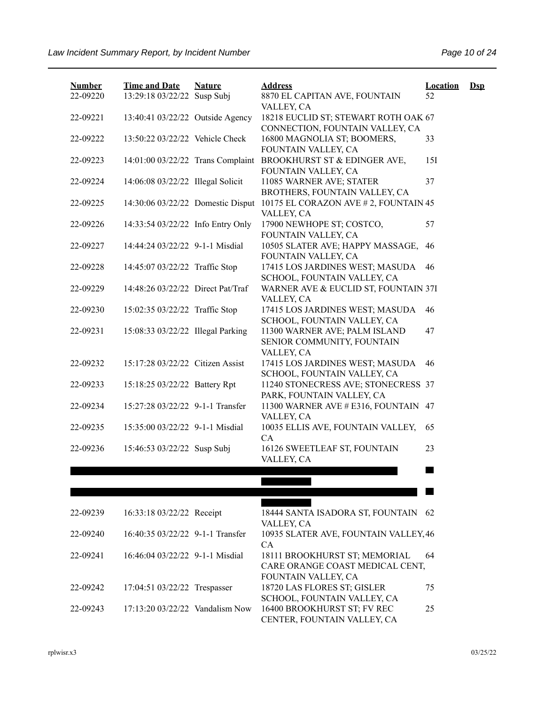| <b>Number</b><br>22-09220 | <b>Time and Date</b><br>13:29:18 03/22/22 Susp Subj | <b>Nature</b> | <b>Address</b><br>8870 EL CAPITAN AVE, FOUNTAIN                                       | <b>Location</b><br>52 | <u>Dsp</u> |
|---------------------------|-----------------------------------------------------|---------------|---------------------------------------------------------------------------------------|-----------------------|------------|
| 22-09221                  | 13:40:41 03/22/22 Outside Agency                    |               | VALLEY, CA<br>18218 EUCLID ST; STEWART ROTH OAK 67                                    |                       |            |
| 22-09222                  | 13:50:22 03/22/22 Vehicle Check                     |               | CONNECTION, FOUNTAIN VALLEY, CA<br>16800 MAGNOLIA ST; BOOMERS,                        | 33                    |            |
| 22-09223                  |                                                     |               | FOUNTAIN VALLEY, CA<br>14:01:00 03/22/22 Trans Complaint BROOKHURST ST & EDINGER AVE, | 15I                   |            |
| 22-09224                  | 14:06:08 03/22/22 Illegal Solicit                   |               | FOUNTAIN VALLEY, CA<br>11085 WARNER AVE; STATER                                       | 37                    |            |
| 22-09225                  | 14:30:06 03/22/22 Domestic Disput                   |               | BROTHERS, FOUNTAIN VALLEY, CA<br>10175 EL CORAZON AVE # 2, FOUNTAIN 45                |                       |            |
| 22-09226                  | 14:33:54 03/22/22 Info Entry Only                   |               | VALLEY, CA<br>17900 NEWHOPE ST; COSTCO,                                               | 57                    |            |
| 22-09227                  | 14:44:24 03/22/22 9-1-1 Misdial                     |               | FOUNTAIN VALLEY, CA<br>10505 SLATER AVE; HAPPY MASSAGE,                               | 46                    |            |
| 22-09228                  | 14:45:07 03/22/22 Traffic Stop                      |               | FOUNTAIN VALLEY, CA<br>17415 LOS JARDINES WEST; MASUDA                                | 46                    |            |
| 22-09229                  | 14:48:26 03/22/22 Direct Pat/Traf                   |               | SCHOOL, FOUNTAIN VALLEY, CA<br>WARNER AVE & EUCLID ST, FOUNTAIN 37I                   |                       |            |
| 22-09230                  | 15:02:35 03/22/22 Traffic Stop                      |               | VALLEY, CA<br>17415 LOS JARDINES WEST; MASUDA                                         | 46                    |            |
| 22-09231                  | 15:08:33 03/22/22 Illegal Parking                   |               | SCHOOL, FOUNTAIN VALLEY, CA<br>11300 WARNER AVE; PALM ISLAND                          | 47                    |            |
|                           |                                                     |               | SENIOR COMMUNITY, FOUNTAIN<br>VALLEY, CA                                              |                       |            |
| 22-09232                  | 15:17:28 03/22/22 Citizen Assist                    |               | 17415 LOS JARDINES WEST; MASUDA<br>SCHOOL, FOUNTAIN VALLEY, CA                        | 46                    |            |
| 22-09233                  | 15:18:25 03/22/22 Battery Rpt                       |               | 11240 STONECRESS AVE; STONECRESS 37<br>PARK, FOUNTAIN VALLEY, CA                      |                       |            |
| 22-09234                  | 15:27:28 03/22/22 9-1-1 Transfer                    |               | 11300 WARNER AVE # E316, FOUNTAIN<br>VALLEY, CA                                       | 47                    |            |
| 22-09235                  | 15:35:00 03/22/22 9-1-1 Misdial                     |               | 10035 ELLIS AVE, FOUNTAIN VALLEY,<br>CA                                               | 65                    |            |
| 22-09236                  | 15:46:53 03/22/22 Susp Subj                         |               | 16126 SWEETLEAF ST, FOUNTAIN<br>VALLEY, CA                                            | 23                    |            |
|                           |                                                     |               |                                                                                       |                       |            |
|                           |                                                     |               |                                                                                       |                       |            |
| 22-09239                  | 16:33:18 03/22/22 Receipt                           |               | 18444 SANTA ISADORA ST, FOUNTAIN<br>VALLEY, CA                                        | 62                    |            |
| 22-09240                  | 16:40:35 03/22/22 9-1-1 Transfer                    |               | 10935 SLATER AVE, FOUNTAIN VALLEY, 46<br>CA                                           |                       |            |
| 22-09241                  | 16:46:04 03/22/22 9-1-1 Misdial                     |               | 18111 BROOKHURST ST; MEMORIAL<br>CARE ORANGE COAST MEDICAL CENT,                      | 64                    |            |
| 22-09242                  | 17:04:51 03/22/22 Trespasser                        |               | FOUNTAIN VALLEY, CA<br>18720 LAS FLORES ST; GISLER<br>SCHOOL, FOUNTAIN VALLEY, CA     | 75                    |            |

CENTER, FOUNTAIN VALLEY, CA

22-09243 17:13:20 03/22/22 Vandalism Now 16400 BROOKHURST ST; FV REC

25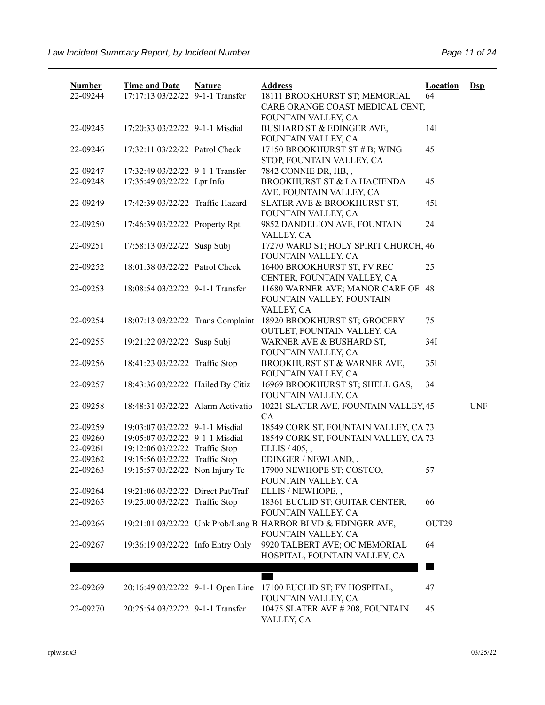| <b>Number</b><br>22-09244 | <b>Time and Date</b><br>17:17:13 03/22/22 9-1-1 Transfer | <b>Nature</b> | <b>Address</b><br>18111 BROOKHURST ST; MEMORIAL                                     | <b>Location</b><br>64 | $Dep$      |
|---------------------------|----------------------------------------------------------|---------------|-------------------------------------------------------------------------------------|-----------------------|------------|
|                           |                                                          |               | CARE ORANGE COAST MEDICAL CENT,<br>FOUNTAIN VALLEY, CA                              |                       |            |
| 22-09245                  | 17:20:33 03/22/22 9-1-1 Misdial                          |               | BUSHARD ST & EDINGER AVE,<br>FOUNTAIN VALLEY, CA                                    | 14I                   |            |
| 22-09246                  | 17:32:11 03/22/22 Patrol Check                           |               | 17150 BROOKHURST ST # B; WING<br>STOP, FOUNTAIN VALLEY, CA                          | 45                    |            |
| 22-09247                  | 17:32:49 03/22/22 9-1-1 Transfer                         |               | 7842 CONNIE DR, HB,,                                                                |                       |            |
| 22-09248                  | 17:35:49 03/22/22 Lpr Info                               |               | BROOKHURST ST & LA HACIENDA<br>AVE, FOUNTAIN VALLEY, CA                             | 45                    |            |
| 22-09249                  | 17:42:39 03/22/22 Traffic Hazard                         |               | SLATER AVE & BROOKHURST ST,<br>FOUNTAIN VALLEY, CA                                  | 45I                   |            |
| 22-09250                  | 17:46:39 03/22/22 Property Rpt                           |               | 9852 DANDELION AVE, FOUNTAIN<br>VALLEY, CA                                          | 24                    |            |
| 22-09251                  | 17:58:13 03/22/22 Susp Subj                              |               | 17270 WARD ST; HOLY SPIRIT CHURCH, 46<br>FOUNTAIN VALLEY, CA                        |                       |            |
| 22-09252                  | 18:01:38 03/22/22 Patrol Check                           |               | 16400 BROOKHURST ST; FV REC<br>CENTER, FOUNTAIN VALLEY, CA                          | 25                    |            |
| 22-09253                  | 18:08:54 03/22/22 9-1-1 Transfer                         |               | 11680 WARNER AVE; MANOR CARE OF<br>FOUNTAIN VALLEY, FOUNTAIN                        | 48                    |            |
| 22-09254                  | 18:07:13 03/22/22 Trans Complaint                        |               | VALLEY, CA<br>18920 BROOKHURST ST; GROCERY<br>OUTLET, FOUNTAIN VALLEY, CA           | 75                    |            |
| 22-09255                  | 19:21:22 03/22/22 Susp Subj                              |               | WARNER AVE & BUSHARD ST,<br>FOUNTAIN VALLEY, CA                                     | 34I                   |            |
| 22-09256                  | 18:41:23 03/22/22 Traffic Stop                           |               | BROOKHURST ST & WARNER AVE,<br>FOUNTAIN VALLEY, CA                                  | 35I                   |            |
| 22-09257                  | 18:43:36 03/22/22 Hailed By Citiz                        |               | 16969 BROOKHURST ST; SHELL GAS,<br>FOUNTAIN VALLEY, CA                              | 34                    |            |
| 22-09258                  | 18:48:31 03/22/22 Alarm Activatio                        |               | 10221 SLATER AVE, FOUNTAIN VALLEY, 45<br>CA                                         |                       | <b>UNF</b> |
| 22-09259                  | 19:03:07 03/22/22 9-1-1 Misdial                          |               | 18549 CORK ST, FOUNTAIN VALLEY, CA 73                                               |                       |            |
| 22-09260                  | 19:05:07 03/22/22 9-1-1 Misdial                          |               | 18549 CORK ST, FOUNTAIN VALLEY, CA 73                                               |                       |            |
| 22-09261                  | 19:12:06 03/22/22 Traffic Stop                           |               | ELLIS / 405,,                                                                       |                       |            |
| 22-09262                  | 19:15:56 03/22/22 Traffic Stop                           |               | EDINGER / NEWLAND,,                                                                 |                       |            |
| 22-09263                  | 19:15:57 03/22/22 Non Injury Tc                          |               | 17900 NEWHOPE ST; COSTCO,<br>FOUNTAIN VALLEY, CA                                    | 57                    |            |
| 22-09264                  | 19:21:06 03/22/22 Direct Pat/Traf                        |               | ELLIS / NEWHOPE,,                                                                   |                       |            |
| 22-09265                  | 19:25:00 03/22/22 Traffic Stop                           |               | 18361 EUCLID ST; GUITAR CENTER,<br>FOUNTAIN VALLEY, CA                              | 66                    |            |
| 22-09266                  |                                                          |               | 19:21:01 03/22/22 Unk Prob/Lang B HARBOR BLVD & EDINGER AVE,<br>FOUNTAIN VALLEY, CA | OUT29                 |            |
| 22-09267                  | 19:36:19 03/22/22 Info Entry Only                        |               | 9920 TALBERT AVE; OC MEMORIAL<br>HOSPITAL, FOUNTAIN VALLEY, CA                      | 64                    |            |
|                           |                                                          |               |                                                                                     |                       |            |
| 22-09269                  | 20:16:49 03/22/22 9-1-1 Open Line                        |               | 17100 EUCLID ST; FV HOSPITAL,<br>FOUNTAIN VALLEY, CA                                | 47                    |            |
| 22-09270                  | 20:25:54 03/22/22 9-1-1 Transfer                         |               | 10475 SLATER AVE # 208, FOUNTAIN<br>VALLEY, CA                                      | 45                    |            |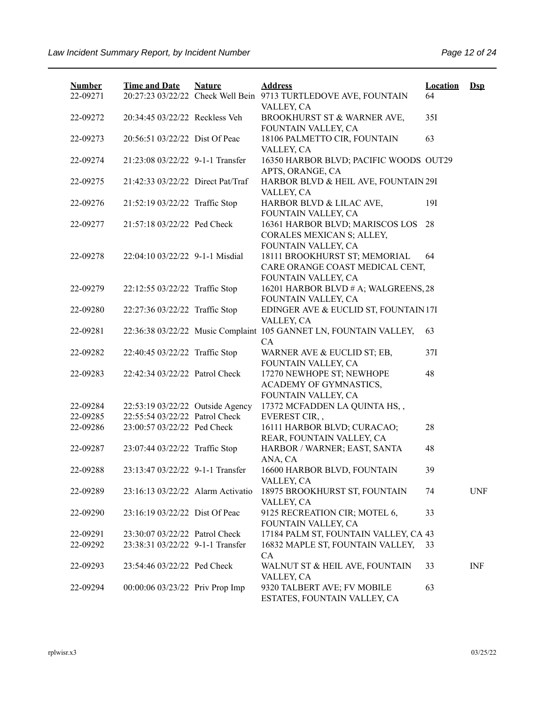| <b>Number</b><br>22-09271 | <b>Time and Date</b>              | <b>Nature</b> | <b>Address</b><br>20:27:23 03/22/22 Check Well Bein 9713 TURTLEDOVE AVE, FOUNTAIN       | <b>Location</b><br>64 | $\mathbf{Dsp}$ |
|---------------------------|-----------------------------------|---------------|-----------------------------------------------------------------------------------------|-----------------------|----------------|
| 22-09272                  | 20:34:45 03/22/22 Reckless Veh    |               | VALLEY, CA<br>BROOKHURST ST & WARNER AVE,                                               | 35I                   |                |
| 22-09273                  | 20:56:51 03/22/22 Dist Of Peac    |               | FOUNTAIN VALLEY, CA<br>18106 PALMETTO CIR, FOUNTAIN<br>VALLEY, CA                       | 63                    |                |
| 22-09274                  | 21:23:08 03/22/22 9-1-1 Transfer  |               | 16350 HARBOR BLVD; PACIFIC WOODS OUT29<br>APTS, ORANGE, CA                              |                       |                |
| 22-09275                  | 21:42:33 03/22/22 Direct Pat/Traf |               | HARBOR BLVD & HEIL AVE, FOUNTAIN 29I<br>VALLEY, CA                                      |                       |                |
| 22-09276                  | 21:52:19 03/22/22 Traffic Stop    |               | HARBOR BLVD & LILAC AVE,<br>FOUNTAIN VALLEY, CA                                         | 19I                   |                |
| 22-09277                  | 21:57:18 03/22/22 Ped Check       |               | 16361 HARBOR BLVD; MARISCOS LOS<br>CORALES MEXICAN S; ALLEY,<br>FOUNTAIN VALLEY, CA     | 28                    |                |
| 22-09278                  | 22:04:10 03/22/22 9-1-1 Misdial   |               | 18111 BROOKHURST ST; MEMORIAL<br>CARE ORANGE COAST MEDICAL CENT,<br>FOUNTAIN VALLEY, CA | 64                    |                |
| 22-09279                  | 22:12:55 03/22/22 Traffic Stop    |               | 16201 HARBOR BLVD # A; WALGREENS, 28<br>FOUNTAIN VALLEY, CA                             |                       |                |
| 22-09280                  | 22:27:36 03/22/22 Traffic Stop    |               | EDINGER AVE & EUCLID ST, FOUNTAIN 17I<br>VALLEY, CA                                     |                       |                |
| 22-09281                  |                                   |               | 22:36:38 03/22/22 Music Complaint 105 GANNET LN, FOUNTAIN VALLEY,<br>CA                 | 63                    |                |
| 22-09282                  | 22:40:45 03/22/22 Traffic Stop    |               | WARNER AVE & EUCLID ST; EB,<br>FOUNTAIN VALLEY, CA                                      | 37I                   |                |
| 22-09283                  | 22:42:34 03/22/22 Patrol Check    |               | 17270 NEWHOPE ST; NEWHOPE<br>ACADEMY OF GYMNASTICS,<br>FOUNTAIN VALLEY, CA              | 48                    |                |
| 22-09284                  | 22:53:19 03/22/22 Outside Agency  |               | 17372 MCFADDEN LA QUINTA HS,,                                                           |                       |                |
| 22-09285                  | 22:55:54 03/22/22 Patrol Check    |               | EVEREST CIR,,                                                                           |                       |                |
| 22-09286                  | 23:00:57 03/22/22 Ped Check       |               | 16111 HARBOR BLVD; CURACAO;<br>REAR, FOUNTAIN VALLEY, CA                                | 28                    |                |
| 22-09287                  | 23:07:44 03/22/22 Traffic Stop    |               | HARBOR / WARNER; EAST, SANTA<br>ANA, CA                                                 | 48                    |                |
| 22-09288                  | 23:13:47 03/22/22 9-1-1 Transfer  |               | 16600 HARBOR BLVD, FOUNTAIN<br>VALLEY, CA                                               | 39                    |                |
| 22-09289                  | 23:16:13 03/22/22 Alarm Activatio |               | 18975 BROOKHURST ST, FOUNTAIN<br>VALLEY, CA                                             | 74                    | <b>UNF</b>     |
| 22-09290                  | 23:16:19 03/22/22 Dist Of Peac    |               | 9125 RECREATION CIR; MOTEL 6,<br>FOUNTAIN VALLEY, CA                                    | 33                    |                |
| 22-09291                  | 23:30:07 03/22/22 Patrol Check    |               | 17184 PALM ST, FOUNTAIN VALLEY, CA 43                                                   |                       |                |
| 22-09292                  | 23:38:31 03/22/22 9-1-1 Transfer  |               | 16832 MAPLE ST, FOUNTAIN VALLEY,<br>CA                                                  | 33                    |                |
| 22-09293                  | 23:54:46 03/22/22 Ped Check       |               | WALNUT ST & HEIL AVE, FOUNTAIN<br>VALLEY, CA                                            | 33                    | <b>INF</b>     |
| 22-09294                  | 00:00:06 03/23/22 Priv Prop Imp   |               | 9320 TALBERT AVE; FV MOBILE<br>ESTATES, FOUNTAIN VALLEY, CA                             | 63                    |                |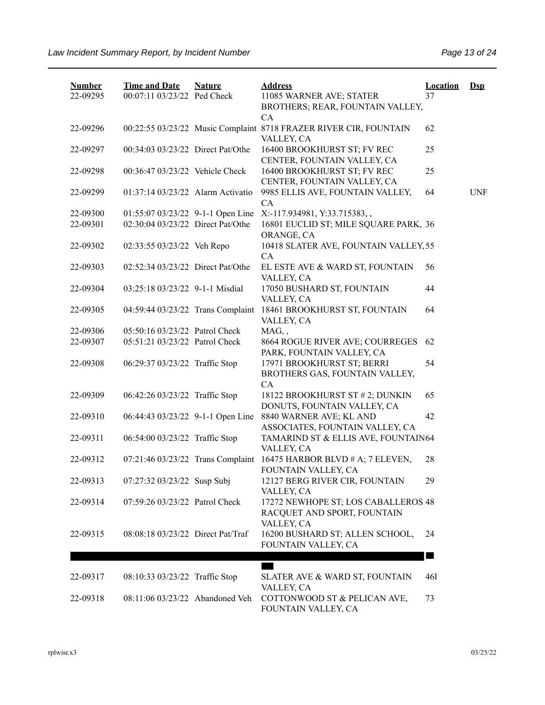| <b>Number</b><br>22-09295 | <b>Time and Date</b><br>00:07:11 03/23/22 Ped Check                    | <b>Nature</b> | <b>Address</b><br>11085 WARNER AVE; STATER<br>BROTHERS; REAR, FOUNTAIN VALLEY,                         | <b>Location</b><br>37 | $\mathbf{Dsp}$ |
|---------------------------|------------------------------------------------------------------------|---------------|--------------------------------------------------------------------------------------------------------|-----------------------|----------------|
| 22-09296                  |                                                                        |               | <b>CA</b><br>00:22:55 03/23/22 Music Complaint 8718 FRAZER RIVER CIR, FOUNTAIN<br>VALLEY, CA           | 62                    |                |
| 22-09297                  | 00:34:03 03/23/22 Direct Pat/Othe                                      |               | 16400 BROOKHURST ST; FV REC<br>CENTER, FOUNTAIN VALLEY, CA                                             | 25                    |                |
| 22-09298                  | 00:36:47 03/23/22 Vehicle Check                                        |               | 16400 BROOKHURST ST; FV REC<br>CENTER, FOUNTAIN VALLEY, CA                                             | 25                    |                |
| 22-09299                  | 01:37:14 03/23/22 Alarm Activatio                                      |               | 9985 ELLIS AVE, FOUNTAIN VALLEY,<br>CA                                                                 | 64                    | <b>UNF</b>     |
| 22-09300<br>22-09301      | 01:55:07 03/23/22 9-1-1 Open Line<br>02:30:04 03/23/22 Direct Pat/Othe |               | X:-117.934981, Y:33.715383,,<br>16801 EUCLID ST; MILE SQUARE PARK, 36                                  |                       |                |
| 22-09302                  | 02:33:55 03/23/22 Veh Repo                                             |               | ORANGE, CA<br>10418 SLATER AVE, FOUNTAIN VALLEY, 55                                                    |                       |                |
| 22-09303                  | 02:52:34 03/23/22 Direct Pat/Othe                                      |               | CA<br>EL ESTE AVE & WARD ST, FOUNTAIN<br>VALLEY, CA                                                    | 56                    |                |
| 22-09304                  | 03:25:18 03/23/22 9-1-1 Misdial                                        |               | 17050 BUSHARD ST, FOUNTAIN<br>VALLEY, CA                                                               | 44                    |                |
| 22-09305                  | 04:59:44 03/23/22 Trans Complaint                                      |               | 18461 BROOKHURST ST, FOUNTAIN<br>VALLEY, CA                                                            | 64                    |                |
| 22-09306                  | 05:50:16 03/23/22 Patrol Check                                         |               | MAG,,                                                                                                  |                       |                |
| 22-09307                  | 05:51:21 03/23/22 Patrol Check                                         |               | 8664 ROGUE RIVER AVE; COURREGES                                                                        | 62                    |                |
| 22-09308                  | 06:29:37 03/23/22 Traffic Stop                                         |               | PARK, FOUNTAIN VALLEY, CA<br>17971 BROOKHURST ST; BERRI<br>BROTHERS GAS, FOUNTAIN VALLEY,<br><b>CA</b> | 54                    |                |
| 22-09309                  | 06:42:26 03/23/22 Traffic Stop                                         |               | 18122 BROOKHURST ST # 2; DUNKIN<br>DONUTS, FOUNTAIN VALLEY, CA                                         | 65                    |                |
| 22-09310                  | 06:44:43 03/23/22 9-1-1 Open Line                                      |               | 8840 WARNER AVE; KL AND<br>ASSOCIATES, FOUNTAIN VALLEY, CA                                             | 42                    |                |
| 22-09311                  | 06:54:00 03/23/22 Traffic Stop                                         |               | TAMARIND ST & ELLIS AVE, FOUNTAIN64<br>VALLEY, CA                                                      |                       |                |
| 22-09312                  | 07:21:46 03/23/22 Trans Complaint                                      |               | 16475 HARBOR BLVD $#A$ ; 7 ELEVEN,<br>FOUNTAIN VALLEY, CA                                              | 28                    |                |
| 22-09313                  | 07:27:32 03/23/22 Susp Subj                                            |               | 12127 BERG RIVER CIR, FOUNTAIN<br>VALLEY, CA                                                           | 29                    |                |
| 22-09314                  | 07:59:26 03/23/22 Patrol Check                                         |               | 17272 NEWHOPE ST; LOS CABALLEROS 48<br>RACQUET AND SPORT, FOUNTAIN                                     |                       |                |
| 22-09315                  | 08:08:18 03/23/22 Direct Pat/Traf                                      |               | VALLEY, CA<br>16200 BUSHARD ST; ALLEN SCHOOL,<br>FOUNTAIN VALLEY, CA                                   | 24                    |                |
| 22-09317                  | 08:10:33 03/23/22 Traffic Stop                                         |               | <b>The Co</b><br>SLATER AVE & WARD ST, FOUNTAIN                                                        | 46I                   |                |
| 22-09318                  | 08:11:06 03/23/22 Abandoned Veh                                        |               | VALLEY, CA<br>COTTONWOOD ST & PELICAN AVE,<br>FOUNTAIN VALLEY, CA                                      | 73                    |                |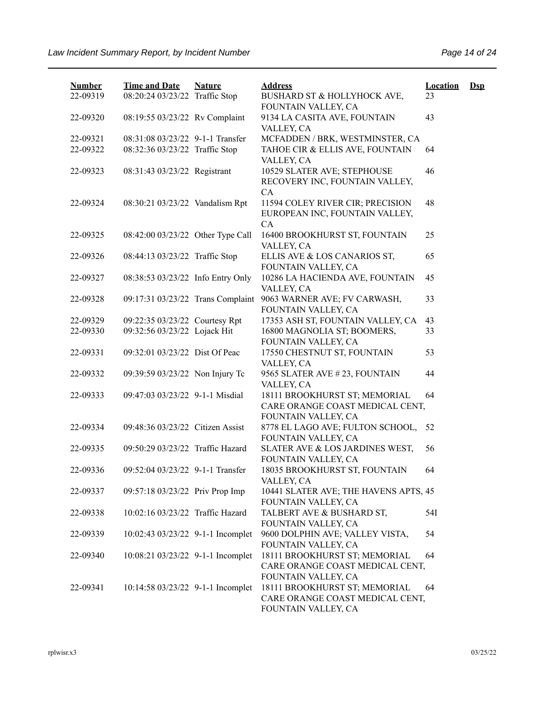| <b>Number</b> | <b>Time and Date</b>              | <b>Nature</b> | <b>Address</b>                                                                                                 | <b>Location</b> | $\mathbf{Dsp}$ |
|---------------|-----------------------------------|---------------|----------------------------------------------------------------------------------------------------------------|-----------------|----------------|
| 22-09319      | 08:20:24 03/23/22 Traffic Stop    |               | BUSHARD ST & HOLLYHOCK AVE,<br>FOUNTAIN VALLEY, CA                                                             | 23              |                |
| 22-09320      | 08:19:55 03/23/22 Rv Complaint    |               | 9134 LA CASITA AVE, FOUNTAIN<br>VALLEY, CA                                                                     | 43              |                |
| 22-09321      | 08:31:08 03/23/22 9-1-1 Transfer  |               | MCFADDEN / BRK, WESTMINSTER, CA                                                                                |                 |                |
| 22-09322      | 08:32:36 03/23/22 Traffic Stop    |               | TAHOE CIR & ELLIS AVE, FOUNTAIN<br>VALLEY, CA                                                                  | 64              |                |
| 22-09323      | 08:31:43 03/23/22 Registrant      |               | 10529 SLATER AVE; STEPHOUSE<br>RECOVERY INC, FOUNTAIN VALLEY,                                                  | 46              |                |
| 22-09324      | 08:30:21 03/23/22 Vandalism Rpt   |               | CA<br>11594 COLEY RIVER CIR; PRECISION<br>EUROPEAN INC, FOUNTAIN VALLEY,                                       | 48              |                |
| 22-09325      | 08:42:00 03/23/22 Other Type Call |               | CA<br>16400 BROOKHURST ST, FOUNTAIN<br>VALLEY, CA                                                              | 25              |                |
| 22-09326      | 08:44:13 03/23/22 Traffic Stop    |               | ELLIS AVE & LOS CANARIOS ST,<br>FOUNTAIN VALLEY, CA                                                            | 65              |                |
| 22-09327      | 08:38:53 03/23/22 Info Entry Only |               | 10286 LA HACIENDA AVE, FOUNTAIN<br>VALLEY, CA                                                                  | 45              |                |
| 22-09328      | 09:17:31 03/23/22 Trans Complaint |               | 9063 WARNER AVE; FV CARWASH,<br>FOUNTAIN VALLEY, CA                                                            | 33              |                |
| 22-09329      | 09:22:35 03/23/22 Courtesy Rpt    |               | 17353 ASH ST, FOUNTAIN VALLEY, CA                                                                              | 43              |                |
| 22-09330      | 09:32:56 03/23/22 Lojack Hit      |               | 16800 MAGNOLIA ST; BOOMERS,<br>FOUNTAIN VALLEY, CA                                                             | 33              |                |
| 22-09331      | 09:32:01 03/23/22 Dist Of Peac    |               | 17550 CHESTNUT ST, FOUNTAIN<br>VALLEY, CA                                                                      | 53              |                |
| 22-09332      | 09:39:59 03/23/22 Non Injury Tc   |               | 9565 SLATER AVE #23, FOUNTAIN<br>VALLEY, CA                                                                    | 44              |                |
| 22-09333      | 09:47:03 03/23/22 9-1-1 Misdial   |               | 18111 BROOKHURST ST; MEMORIAL<br>CARE ORANGE COAST MEDICAL CENT,<br>FOUNTAIN VALLEY, CA                        | 64              |                |
| 22-09334      | 09:48:36 03/23/22 Citizen Assist  |               | 8778 EL LAGO AVE; FULTON SCHOOL,<br>FOUNTAIN VALLEY, CA                                                        | 52              |                |
| 22-09335      | 09:50:29 03/23/22 Traffic Hazard  |               | SLATER AVE & LOS JARDINES WEST,<br>FOUNTAIN VALLEY, CA                                                         | 56              |                |
| 22-09336      | 09:52:04 03/23/22 9-1-1 Transfer  |               | 18035 BROOKHURST ST, FOUNTAIN<br>VALLEY, CA                                                                    | 64              |                |
| 22-09337      | 09:57:18 03/23/22 Priv Prop Imp   |               | 10441 SLATER AVE; THE HAVENS APTS, 45<br>FOUNTAIN VALLEY, CA                                                   |                 |                |
| 22-09338      | 10:02:16 03/23/22 Traffic Hazard  |               | TALBERT AVE & BUSHARD ST,<br>FOUNTAIN VALLEY, CA                                                               | 54I             |                |
| 22-09339      | 10:02:43 03/23/22 9-1-1 Incomplet |               | 9600 DOLPHIN AVE; VALLEY VISTA,<br>FOUNTAIN VALLEY, CA                                                         | 54              |                |
| 22-09340      | 10:08:21 03/23/22 9-1-1 Incomplet |               | 18111 BROOKHURST ST; MEMORIAL<br>CARE ORANGE COAST MEDICAL CENT,                                               | 64              |                |
| 22-09341      | 10:14:58 03/23/22 9-1-1 Incomplet |               | FOUNTAIN VALLEY, CA<br>18111 BROOKHURST ST; MEMORIAL<br>CARE ORANGE COAST MEDICAL CENT,<br>FOUNTAIN VALLEY, CA | 64              |                |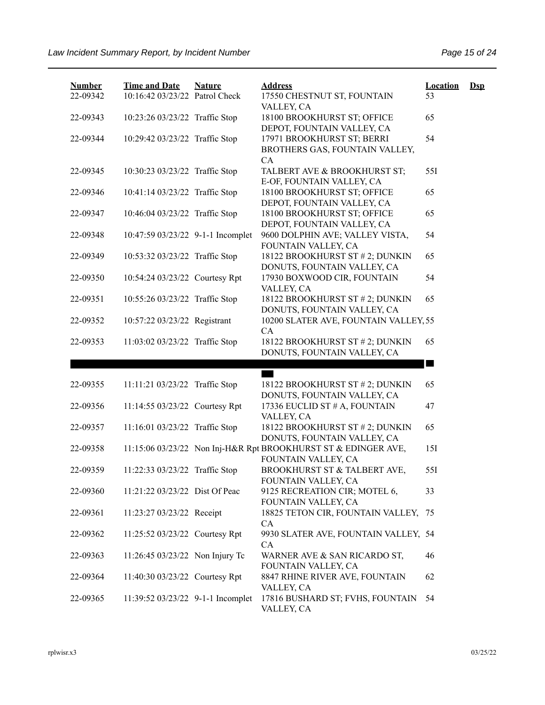| <b>Number</b> | <b>Time and Date</b>              | <b>Nature</b> | <b>Address</b>                                                 | <b>Location</b> | $\mathbf{Dsp}$ |
|---------------|-----------------------------------|---------------|----------------------------------------------------------------|-----------------|----------------|
| 22-09342      | 10:16:42 03/23/22 Patrol Check    |               | 17550 CHESTNUT ST, FOUNTAIN<br>VALLEY, CA                      | 53              |                |
| 22-09343      | 10:23:26 03/23/22 Traffic Stop    |               | 18100 BROOKHURST ST; OFFICE                                    | 65              |                |
| 22-09344      | 10:29:42 03/23/22 Traffic Stop    |               | DEPOT, FOUNTAIN VALLEY, CA<br>17971 BROOKHURST ST; BERRI       | 54              |                |
|               |                                   |               | BROTHERS GAS, FOUNTAIN VALLEY,                                 |                 |                |
|               |                                   |               | CA                                                             |                 |                |
| 22-09345      | 10:30:23 03/23/22 Traffic Stop    |               | TALBERT AVE & BROOKHURST ST;<br>E-OF, FOUNTAIN VALLEY, CA      | 551             |                |
| 22-09346      | 10:41:14 03/23/22 Traffic Stop    |               | 18100 BROOKHURST ST; OFFICE                                    | 65              |                |
|               |                                   |               | DEPOT, FOUNTAIN VALLEY, CA                                     |                 |                |
| 22-09347      | 10:46:04 03/23/22 Traffic Stop    |               | 18100 BROOKHURST ST; OFFICE                                    | 65              |                |
|               |                                   |               | DEPOT, FOUNTAIN VALLEY, CA                                     |                 |                |
| 22-09348      | 10:47:59 03/23/22 9-1-1 Incomplet |               | 9600 DOLPHIN AVE; VALLEY VISTA,                                | 54              |                |
|               |                                   |               | FOUNTAIN VALLEY, CA                                            |                 |                |
| 22-09349      | 10:53:32 03/23/22 Traffic Stop    |               | 18122 BROOKHURST ST # 2; DUNKIN<br>DONUTS, FOUNTAIN VALLEY, CA | 65              |                |
| 22-09350      | 10:54:24 03/23/22 Courtesy Rpt    |               | 17930 BOXWOOD CIR, FOUNTAIN                                    | 54              |                |
|               |                                   |               | VALLEY, CA                                                     |                 |                |
| 22-09351      | 10:55:26 03/23/22 Traffic Stop    |               | 18122 BROOKHURST ST # 2; DUNKIN                                | 65              |                |
|               |                                   |               | DONUTS, FOUNTAIN VALLEY, CA                                    |                 |                |
| 22-09352      | 10:57:22 03/23/22 Registrant      |               | 10200 SLATER AVE, FOUNTAIN VALLEY, 55                          |                 |                |
|               |                                   |               | CA                                                             |                 |                |
| 22-09353      | 11:03:02 03/23/22 Traffic Stop    |               | 18122 BROOKHURST ST # 2; DUNKIN                                | 65              |                |
|               |                                   |               | DONUTS, FOUNTAIN VALLEY, CA                                    |                 |                |
|               |                                   |               |                                                                |                 |                |
|               |                                   |               |                                                                |                 |                |
| 22-09355      | 11:11:21 03/23/22 Traffic Stop    |               | 18122 BROOKHURST ST # 2; DUNKIN                                | 65              |                |
|               |                                   |               | DONUTS, FOUNTAIN VALLEY, CA<br>17336 EUCLID ST # A, FOUNTAIN   | 47              |                |
| 22-09356      | 11:14:55 03/23/22 Courtesy Rpt    |               | VALLEY, CA                                                     |                 |                |
| 22-09357      | 11:16:01 03/23/22 Traffic Stop    |               | 18122 BROOKHURST ST # 2; DUNKIN                                | 65              |                |
|               |                                   |               | DONUTS, FOUNTAIN VALLEY, CA                                    |                 |                |
| 22-09358      |                                   |               | 11:15:06 03/23/22 Non Inj-H&R Rpt BROOKHURST ST & EDINGER AVE, | 151             |                |
|               |                                   |               | FOUNTAIN VALLEY, CA                                            |                 |                |
| 22-09359      | 11:22:33 03/23/22 Traffic Stop    |               | BROOKHURST ST & TALBERT AVE,                                   | 551             |                |
|               |                                   |               | FOUNTAIN VALLEY, CA                                            |                 |                |
| 22-09360      | 11:21:22 03/23/22 Dist Of Peac    |               | 9125 RECREATION CIR; MOTEL 6,                                  | 33              |                |
|               |                                   |               | FOUNTAIN VALLEY, CA                                            |                 |                |
| 22-09361      | 11:23:27 03/23/22 Receipt         |               | 18825 TETON CIR, FOUNTAIN VALLEY, 75                           |                 |                |
|               |                                   |               | CA                                                             |                 |                |
| 22-09362      | 11:25:52 03/23/22 Courtesy Rpt    |               | 9930 SLATER AVE, FOUNTAIN VALLEY, 54                           |                 |                |
|               |                                   |               | CA                                                             |                 |                |
| 22-09363      | 11:26:45 03/23/22 Non Injury Tc   |               | WARNER AVE & SAN RICARDO ST,                                   | 46              |                |
|               |                                   |               | FOUNTAIN VALLEY, CA                                            |                 |                |
| 22-09364      | 11:40:30 03/23/22 Courtesy Rpt    |               | 8847 RHINE RIVER AVE, FOUNTAIN                                 | 62              |                |
|               |                                   |               | VALLEY, CA<br>17816 BUSHARD ST; FVHS, FOUNTAIN                 | 54              |                |
| 22-09365      | 11:39:52 03/23/22 9-1-1 Incomplet |               | VALLEY, CA                                                     |                 |                |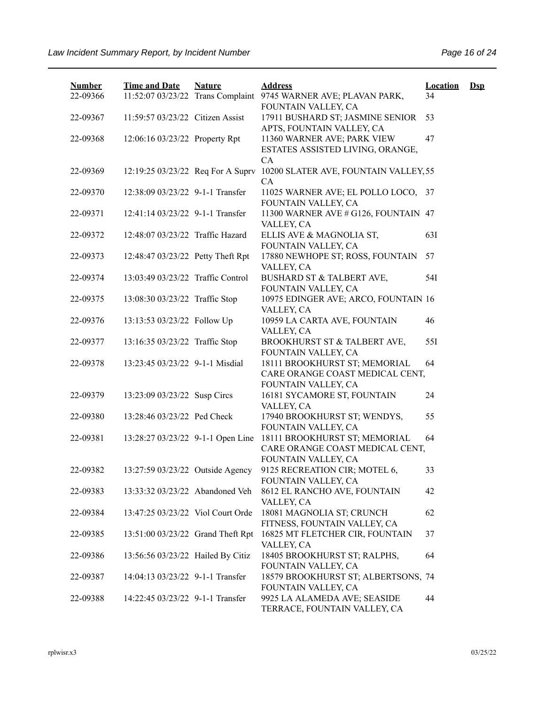| <b>Number</b> | <b>Time and Date</b>              | <b>Nature</b> | <b>Address</b>                                                                          | <b>Location</b> | $\mathbf{Dsp}$ |
|---------------|-----------------------------------|---------------|-----------------------------------------------------------------------------------------|-----------------|----------------|
| 22-09366      | 11:52:07 03/23/22 Trans Complaint |               | 9745 WARNER AVE; PLAVAN PARK,<br>FOUNTAIN VALLEY, CA                                    | 34              |                |
| 22-09367      | 11:59:57 03/23/22 Citizen Assist  |               | 17911 BUSHARD ST; JASMINE SENIOR<br>APTS, FOUNTAIN VALLEY, CA                           | 53              |                |
| 22-09368      | 12:06:16 03/23/22 Property Rpt    |               | 11360 WARNER AVE; PARK VIEW<br>ESTATES ASSISTED LIVING, ORANGE,<br><b>CA</b>            | 47              |                |
| 22-09369      | 12:19:25 03/23/22 Req For A Suprv |               | 10200 SLATER AVE, FOUNTAIN VALLEY, 55<br><b>CA</b>                                      |                 |                |
| 22-09370      | 12:38:09 03/23/22 9-1-1 Transfer  |               | 11025 WARNER AVE; EL POLLO LOCO,<br>FOUNTAIN VALLEY, CA                                 | 37              |                |
| 22-09371      | 12:41:14 03/23/22 9-1-1 Transfer  |               | 11300 WARNER AVE # G126, FOUNTAIN 47<br>VALLEY, CA                                      |                 |                |
| 22-09372      | 12:48:07 03/23/22 Traffic Hazard  |               | ELLIS AVE & MAGNOLIA ST,<br>FOUNTAIN VALLEY, CA                                         | 63I             |                |
| 22-09373      | 12:48:47 03/23/22 Petty Theft Rpt |               | 17880 NEWHOPE ST; ROSS, FOUNTAIN<br>VALLEY, CA                                          | 57              |                |
| 22-09374      | 13:03:49 03/23/22 Traffic Control |               | BUSHARD ST & TALBERT AVE,<br>FOUNTAIN VALLEY, CA                                        | 54I             |                |
| 22-09375      | 13:08:30 03/23/22 Traffic Stop    |               | 10975 EDINGER AVE; ARCO, FOUNTAIN 16<br>VALLEY, CA                                      |                 |                |
| 22-09376      | 13:13:53 03/23/22 Follow Up       |               | 10959 LA CARTA AVE, FOUNTAIN<br>VALLEY, CA                                              | 46              |                |
| 22-09377      | 13:16:35 03/23/22 Traffic Stop    |               | BROOKHURST ST & TALBERT AVE,<br>FOUNTAIN VALLEY, CA                                     | 551             |                |
| 22-09378      | 13:23:45 03/23/22 9-1-1 Misdial   |               | 18111 BROOKHURST ST; MEMORIAL<br>CARE ORANGE COAST MEDICAL CENT,<br>FOUNTAIN VALLEY, CA | 64              |                |
| 22-09379      | 13:23:09 03/23/22 Susp Circs      |               | 16181 SYCAMORE ST, FOUNTAIN<br>VALLEY, CA                                               | 24              |                |
| 22-09380      | 13:28:46 03/23/22 Ped Check       |               | 17940 BROOKHURST ST; WENDYS,<br>FOUNTAIN VALLEY, CA                                     | 55              |                |
| 22-09381      | 13:28:27 03/23/22 9-1-1 Open Line |               | 18111 BROOKHURST ST; MEMORIAL<br>CARE ORANGE COAST MEDICAL CENT,<br>FOUNTAIN VALLEY, CA | 64              |                |
| 22-09382      | 13:27:59 03/23/22 Outside Agency  |               | 9125 RECREATION CIR; MOTEL 6,<br>FOUNTAIN VALLEY, CA                                    | 33              |                |
| 22-09383      | 13:33:32 03/23/22 Abandoned Veh   |               | 8612 EL RANCHO AVE, FOUNTAIN<br>VALLEY, CA                                              | 42              |                |
| 22-09384      | 13:47:25 03/23/22 Viol Court Orde |               | 18081 MAGNOLIA ST; CRUNCH<br>FITNESS, FOUNTAIN VALLEY, CA                               | 62              |                |
| 22-09385      | 13:51:00 03/23/22 Grand Theft Rpt |               | 16825 MT FLETCHER CIR, FOUNTAIN<br>VALLEY, CA                                           | 37              |                |
| 22-09386      | 13:56:56 03/23/22 Hailed By Citiz |               | 18405 BROOKHURST ST; RALPHS,<br>FOUNTAIN VALLEY, CA                                     | 64              |                |
| 22-09387      | 14:04:13 03/23/22 9-1-1 Transfer  |               | 18579 BROOKHURST ST; ALBERTSONS, 74<br>FOUNTAIN VALLEY, CA                              |                 |                |
| 22-09388      | 14:22:45 03/23/22 9-1-1 Transfer  |               | 9925 LA ALAMEDA AVE; SEASIDE<br>TERRACE, FOUNTAIN VALLEY, CA                            | 44              |                |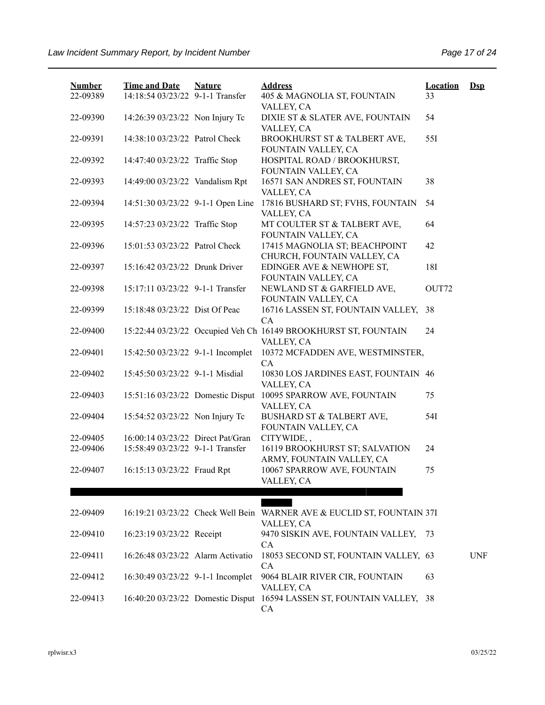| <b>Number</b><br>22-09389 | <b>Time and Date</b><br>14:18:54 03/23/22 9-1-1 Transfer              | <b>Nature</b> | <b>Address</b><br>405 & MAGNOLIA ST, FOUNTAIN                                        | <b>Location</b><br>33 | $\mathbf{Dsp}$ |
|---------------------------|-----------------------------------------------------------------------|---------------|--------------------------------------------------------------------------------------|-----------------------|----------------|
| 22-09390                  | 14:26:39 03/23/22 Non Injury Tc                                       |               | VALLEY, CA<br>DIXIE ST & SLATER AVE, FOUNTAIN<br>VALLEY, CA                          | 54                    |                |
| 22-09391                  | 14:38:10 03/23/22 Patrol Check                                        |               | BROOKHURST ST & TALBERT AVE,<br>FOUNTAIN VALLEY, CA                                  | 551                   |                |
| 22-09392                  | 14:47:40 03/23/22 Traffic Stop                                        |               | HOSPITAL ROAD / BROOKHURST,<br>FOUNTAIN VALLEY, CA                                   |                       |                |
| 22-09393                  | 14:49:00 03/23/22 Vandalism Rpt                                       |               | 16571 SAN ANDRES ST, FOUNTAIN<br>VALLEY, CA                                          | 38                    |                |
| 22-09394                  | 14:51:30 03/23/22 9-1-1 Open Line                                     |               | 17816 BUSHARD ST; FVHS, FOUNTAIN<br>VALLEY, CA                                       | 54                    |                |
| 22-09395                  | 14:57:23 03/23/22 Traffic Stop                                        |               | MT COULTER ST & TALBERT AVE,<br>FOUNTAIN VALLEY, CA                                  | 64                    |                |
| 22-09396                  | 15:01:53 03/23/22 Patrol Check                                        |               | 17415 MAGNOLIA ST; BEACHPOINT<br>CHURCH, FOUNTAIN VALLEY, CA                         | 42                    |                |
| 22-09397                  | 15:16:42 03/23/22 Drunk Driver                                        |               | EDINGER AVE & NEWHOPE ST,<br>FOUNTAIN VALLEY, CA                                     | 18I                   |                |
| 22-09398                  | 15:17:11 03/23/22 9-1-1 Transfer                                      |               | NEWLAND ST & GARFIELD AVE,<br>FOUNTAIN VALLEY, CA                                    | OUT72                 |                |
| 22-09399                  | 15:18:48 03/23/22 Dist Of Peac                                        |               | 16716 LASSEN ST, FOUNTAIN VALLEY,<br>CA                                              | 38                    |                |
| 22-09400                  |                                                                       |               | 15:22:44 03/23/22 Occupied Veh Ch 16149 BROOKHURST ST, FOUNTAIN<br>VALLEY, CA        | 24                    |                |
| 22-09401                  | 15:42:50 03/23/22 9-1-1 Incomplet                                     |               | 10372 MCFADDEN AVE, WESTMINSTER,<br>CA                                               |                       |                |
| 22-09402                  | 15:45:50 03/23/22 9-1-1 Misdial                                       |               | 10830 LOS JARDINES EAST, FOUNTAIN 46<br>VALLEY, CA                                   |                       |                |
| 22-09403                  | 15:51:16 03/23/22 Domestic Disput                                     |               | 10095 SPARROW AVE, FOUNTAIN<br>VALLEY, CA                                            | 75                    |                |
| 22-09404                  | 15:54:52 03/23/22 Non Injury Tc                                       |               | BUSHARD ST & TALBERT AVE,<br>FOUNTAIN VALLEY, CA                                     | 54I                   |                |
| 22-09405<br>22-09406      | 16:00:14 03/23/22 Direct Pat/Gran<br>15:58:49 03/23/22 9-1-1 Transfer |               | CITYWIDE,,<br>16119 BROOKHURST ST; SALVATION                                         | 24                    |                |
| 22-09407                  | 16:15:13 03/23/22 Fraud Rpt                                           |               | ARMY, FOUNTAIN VALLEY, CA<br>10067 SPARROW AVE, FOUNTAIN<br>VALLEY, CA               | 75                    |                |
|                           |                                                                       |               |                                                                                      |                       |                |
| 22-09409                  |                                                                       |               | 16:19:21 03/23/22 Check Well Bein WARNER AVE & EUCLID ST, FOUNTAIN 37I<br>VALLEY, CA |                       |                |
| 22-09410                  | 16:23:19 03/23/22 Receipt                                             |               | 9470 SISKIN AVE, FOUNTAIN VALLEY,<br>CA                                              | 73                    |                |
| 22-09411                  | 16:26:48 03/23/22 Alarm Activatio                                     |               | 18053 SECOND ST, FOUNTAIN VALLEY, 63<br>CA                                           |                       | <b>UNF</b>     |
| 22-09412                  | 16:30:49 03/23/22 9-1-1 Incomplet                                     |               | 9064 BLAIR RIVER CIR, FOUNTAIN<br>VALLEY, CA                                         | 63                    |                |
| 22-09413                  |                                                                       |               | 16:40:20 03/23/22 Domestic Disput 16594 LASSEN ST, FOUNTAIN VALLEY, 38<br>CA         |                       |                |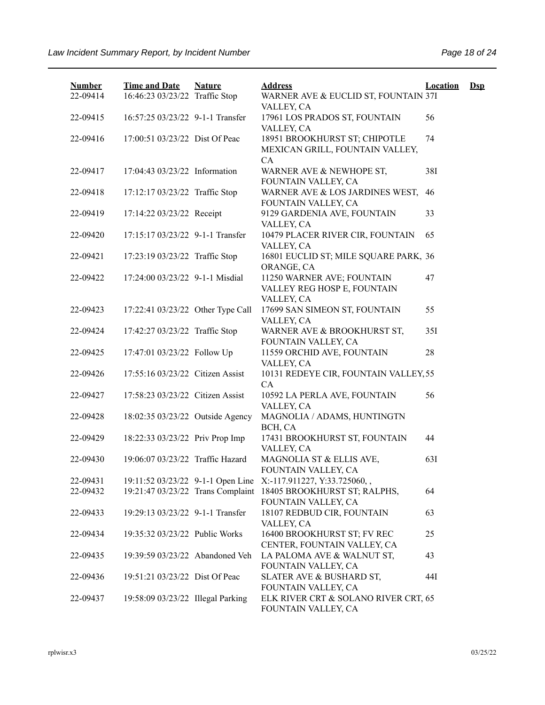| <b>Number</b> | <b>Time and Date</b>              | <b>Nature</b> | <b>Address</b>                                                                | <b>Location</b> | $\mathbf{Dsp}$ |
|---------------|-----------------------------------|---------------|-------------------------------------------------------------------------------|-----------------|----------------|
| 22-09414      | 16:46:23 03/23/22 Traffic Stop    |               | WARNER AVE & EUCLID ST, FOUNTAIN 37I<br>VALLEY, CA                            |                 |                |
| 22-09415      | 16:57:25 03/23/22 9-1-1 Transfer  |               | 17961 LOS PRADOS ST, FOUNTAIN<br>VALLEY, CA                                   | 56              |                |
| 22-09416      | 17:00:51 03/23/22 Dist Of Peac    |               | 18951 BROOKHURST ST; CHIPOTLE<br>MEXICAN GRILL, FOUNTAIN VALLEY,<br><b>CA</b> | 74              |                |
| 22-09417      | 17:04:43 03/23/22 Information     |               | WARNER AVE & NEWHOPE ST,<br>FOUNTAIN VALLEY, CA                               | 38I             |                |
| 22-09418      | 17:12:17 03/23/22 Traffic Stop    |               | WARNER AVE & LOS JARDINES WEST,<br>FOUNTAIN VALLEY, CA                        | 46              |                |
| 22-09419      | 17:14:22 03/23/22 Receipt         |               | 9129 GARDENIA AVE, FOUNTAIN<br>VALLEY, CA                                     | 33              |                |
| 22-09420      | 17:15:17 03/23/22 9-1-1 Transfer  |               | 10479 PLACER RIVER CIR, FOUNTAIN<br>VALLEY, CA                                | 65              |                |
| 22-09421      | 17:23:19 03/23/22 Traffic Stop    |               | 16801 EUCLID ST; MILE SQUARE PARK, 36<br>ORANGE, CA                           |                 |                |
| 22-09422      | 17:24:00 03/23/22 9-1-1 Misdial   |               | 11250 WARNER AVE; FOUNTAIN<br>VALLEY REG HOSP E, FOUNTAIN<br>VALLEY, CA       | 47              |                |
| 22-09423      | 17:22:41 03/23/22 Other Type Call |               | 17699 SAN SIMEON ST, FOUNTAIN<br>VALLEY, CA                                   | 55              |                |
| 22-09424      | 17:42:27 03/23/22 Traffic Stop    |               | WARNER AVE & BROOKHURST ST,<br>FOUNTAIN VALLEY, CA                            | 35I             |                |
| 22-09425      | 17:47:01 03/23/22 Follow Up       |               | 11559 ORCHID AVE, FOUNTAIN<br>VALLEY, CA                                      | 28              |                |
| 22-09426      | 17:55:16 03/23/22 Citizen Assist  |               | 10131 REDEYE CIR, FOUNTAIN VALLEY, 55<br><b>CA</b>                            |                 |                |
| 22-09427      | 17:58:23 03/23/22 Citizen Assist  |               | 10592 LA PERLA AVE, FOUNTAIN<br>VALLEY, CA                                    | 56              |                |
| 22-09428      | 18:02:35 03/23/22 Outside Agency  |               | MAGNOLIA / ADAMS, HUNTINGTN<br>BCH, CA                                        |                 |                |
| 22-09429      | 18:22:33 03/23/22 Priv Prop Imp   |               | 17431 BROOKHURST ST, FOUNTAIN<br>VALLEY, CA                                   | 44              |                |
| 22-09430      | 19:06:07 03/23/22 Traffic Hazard  |               | MAGNOLIA ST & ELLIS AVE,<br>FOUNTAIN VALLEY, CA                               | 63I             |                |
| 22-09431      | 19:11:52 03/23/22 9-1-1 Open Line |               | X:-117.911227, Y:33.725060, ,                                                 |                 |                |
| 22-09432      | 19:21:47 03/23/22 Trans Complaint |               | 18405 BROOKHURST ST; RALPHS,<br>FOUNTAIN VALLEY, CA                           | 64              |                |
| 22-09433      | 19:29:13 03/23/22 9-1-1 Transfer  |               | 18107 REDBUD CIR, FOUNTAIN<br>VALLEY, CA                                      | 63              |                |
| 22-09434      | 19:35:32 03/23/22 Public Works    |               | 16400 BROOKHURST ST; FV REC<br>CENTER, FOUNTAIN VALLEY, CA                    | 25              |                |
| 22-09435      | 19:39:59 03/23/22 Abandoned Veh   |               | LA PALOMA AVE & WALNUT ST,<br>FOUNTAIN VALLEY, CA                             | 43              |                |
| 22-09436      | 19:51:21 03/23/22 Dist Of Peac    |               | SLATER AVE & BUSHARD ST,<br>FOUNTAIN VALLEY, CA                               | 44I             |                |
| 22-09437      | 19:58:09 03/23/22 Illegal Parking |               | ELK RIVER CRT & SOLANO RIVER CRT, 65<br>FOUNTAIN VALLEY, CA                   |                 |                |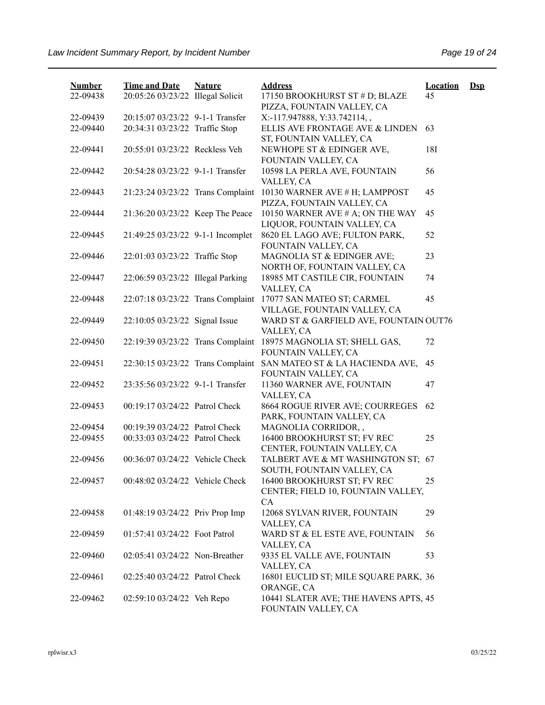| <b>Number</b><br>22-09438 | <b>Time and Date</b><br>20:05:26 03/23/22 Illegal Solicit | <b>Nature</b> | <b>Address</b><br>17150 BROOKHURST ST # D; BLAZE                               | <b>Location</b><br>45 | $\mathbf{Dsp}$ |
|---------------------------|-----------------------------------------------------------|---------------|--------------------------------------------------------------------------------|-----------------------|----------------|
|                           |                                                           |               | PIZZA, FOUNTAIN VALLEY, CA                                                     |                       |                |
| 22-09439                  | 20:15:07 03/23/22 9-1-1 Transfer                          |               | X:-117.947888, Y:33.742114,,                                                   |                       |                |
| 22-09440                  | 20:34:31 03/23/22 Traffic Stop                            |               | ELLIS AVE FRONTAGE AVE & LINDEN<br>ST, FOUNTAIN VALLEY, CA                     | 63                    |                |
| 22-09441                  | 20:55:01 03/23/22 Reckless Veh                            |               | NEWHOPE ST & EDINGER AVE,<br>FOUNTAIN VALLEY, CA                               | 18I                   |                |
| 22-09442                  | 20:54:28 03/23/22 9-1-1 Transfer                          |               | 10598 LA PERLA AVE, FOUNTAIN<br>VALLEY, CA                                     | 56                    |                |
| 22-09443                  | 21:23:24 03/23/22 Trans Complaint                         |               | 10130 WARNER AVE # H; LAMPPOST<br>PIZZA, FOUNTAIN VALLEY, CA                   | 45                    |                |
| 22-09444                  | 21:36:20 03/23/22 Keep The Peace                          |               | 10150 WARNER AVE # A; ON THE WAY<br>LIQUOR, FOUNTAIN VALLEY, CA                | 45                    |                |
| 22-09445                  | 21:49:25 03/23/22 9-1-1 Incomplet                         |               | 8620 EL LAGO AVE; FULTON PARK,<br>FOUNTAIN VALLEY, CA                          | 52                    |                |
| 22-09446                  | 22:01:03 03/23/22 Traffic Stop                            |               | MAGNOLIA ST & EDINGER AVE;<br>NORTH OF, FOUNTAIN VALLEY, CA                    | 23                    |                |
| 22-09447                  | 22:06:59 03/23/22 Illegal Parking                         |               | 18985 MT CASTILE CIR, FOUNTAIN<br>VALLEY, CA                                   | 74                    |                |
| 22-09448                  | 22:07:18 03/23/22 Trans Complaint                         |               | 17077 SAN MATEO ST; CARMEL<br>VILLAGE, FOUNTAIN VALLEY, CA                     | 45                    |                |
| 22-09449                  | 22:10:05 03/23/22 Signal Issue                            |               | WARD ST & GARFIELD AVE, FOUNTAIN OUT76<br>VALLEY, CA                           |                       |                |
| 22-09450                  | 22:19:39 03/23/22 Trans Complaint                         |               | 18975 MAGNOLIA ST; SHELL GAS,<br>FOUNTAIN VALLEY, CA                           | 72                    |                |
| 22-09451                  | 22:30:15 03/23/22 Trans Complaint                         |               | SAN MATEO ST & LA HACIENDA AVE,<br>FOUNTAIN VALLEY, CA                         | 45                    |                |
| 22-09452                  | 23:35:56 03/23/22 9-1-1 Transfer                          |               | 11360 WARNER AVE, FOUNTAIN<br>VALLEY, CA                                       | 47                    |                |
| 22-09453                  | 00:19:17 03/24/22 Patrol Check                            |               | 8664 ROGUE RIVER AVE; COURREGES<br>PARK, FOUNTAIN VALLEY, CA                   | 62                    |                |
| 22-09454                  | 00:19:39 03/24/22 Patrol Check                            |               | MAGNOLIA CORRIDOR,,                                                            |                       |                |
| 22-09455                  | 00:33:03 03/24/22 Patrol Check                            |               | 16400 BROOKHURST ST; FV REC<br>CENTER, FOUNTAIN VALLEY, CA                     | 25                    |                |
| 22-09456                  | 00:36:07 03/24/22 Vehicle Check                           |               | TALBERT AVE & MT WASHINGTON ST;<br>SOUTH, FOUNTAIN VALLEY, CA                  | 67                    |                |
| 22-09457                  | 00:48:02 03/24/22 Vehicle Check                           |               | 16400 BROOKHURST ST; FV REC<br>CENTER; FIELD 10, FOUNTAIN VALLEY,<br><b>CA</b> | 25                    |                |
| 22-09458                  | 01:48:19 03/24/22 Priv Prop Imp                           |               | 12068 SYLVAN RIVER, FOUNTAIN<br>VALLEY, CA                                     | 29                    |                |
| 22-09459                  | 01:57:41 03/24/22 Foot Patrol                             |               | WARD ST & EL ESTE AVE, FOUNTAIN<br>VALLEY, CA                                  | 56                    |                |
| 22-09460                  | 02:05:41 03/24/22 Non-Breather                            |               | 9335 EL VALLE AVE, FOUNTAIN<br>VALLEY, CA                                      | 53                    |                |
| 22-09461                  | 02:25:40 03/24/22 Patrol Check                            |               | 16801 EUCLID ST; MILE SQUARE PARK, 36<br>ORANGE, CA                            |                       |                |
| 22-09462                  | 02:59:10 03/24/22 Veh Repo                                |               | 10441 SLATER AVE; THE HAVENS APTS, 45<br>FOUNTAIN VALLEY, CA                   |                       |                |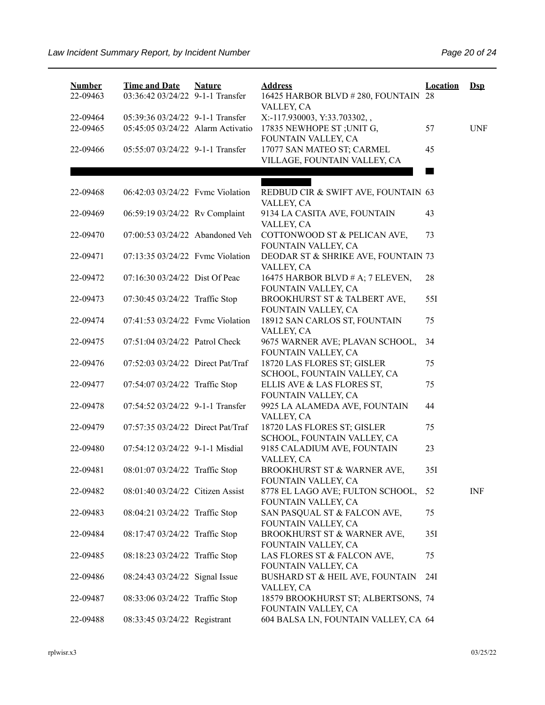| <b>Number</b><br>22-09463 | <b>Time and Date</b><br>03:36:42 03/24/22 9-1-1 Transfer | <b>Nature</b> | <b>Address</b><br>16425 HARBOR BLVD # 280, FOUNTAIN 28<br>VALLEY, CA | <b>Location</b> | $\mathbf{Dsp}$ |
|---------------------------|----------------------------------------------------------|---------------|----------------------------------------------------------------------|-----------------|----------------|
| 22-09464                  | 05:39:36 03/24/22 9-1-1 Transfer                         |               | X:-117.930003, Y:33.703302,,                                         |                 |                |
| 22-09465                  | 05:45:05 03/24/22 Alarm Activatio                        |               | 17835 NEWHOPE ST; UNIT G,<br>FOUNTAIN VALLEY, CA                     | 57              | <b>UNF</b>     |
| 22-09466                  | 05:55:07 03/24/22 9-1-1 Transfer                         |               | 17077 SAN MATEO ST; CARMEL<br>VILLAGE, FOUNTAIN VALLEY, CA           | 45              |                |
|                           |                                                          |               |                                                                      |                 |                |
|                           |                                                          |               |                                                                      |                 |                |
| 22-09468                  | 06:42:03 03/24/22 Fvmc Violation                         |               | REDBUD CIR & SWIFT AVE, FOUNTAIN 63<br>VALLEY, CA                    |                 |                |
| 22-09469                  | 06:59:19 03/24/22 Rv Complaint                           |               | 9134 LA CASITA AVE, FOUNTAIN<br>VALLEY, CA                           | 43              |                |
| 22-09470                  | 07:00:53 03/24/22 Abandoned Veh                          |               | COTTONWOOD ST & PELICAN AVE,<br>FOUNTAIN VALLEY, CA                  | 73              |                |
| 22-09471                  | 07:13:35 03/24/22 Fvmc Violation                         |               | DEODAR ST & SHRIKE AVE, FOUNTAIN 73<br>VALLEY, CA                    |                 |                |
| 22-09472                  | 07:16:30 03/24/22 Dist Of Peac                           |               | 16475 HARBOR BLVD # A; 7 ELEVEN,<br>FOUNTAIN VALLEY, CA              | 28              |                |
| 22-09473                  | 07:30:45 03/24/22 Traffic Stop                           |               | BROOKHURST ST & TALBERT AVE,<br>FOUNTAIN VALLEY, CA                  | 55I             |                |
| 22-09474                  | 07:41:53 03/24/22 Fvmc Violation                         |               | 18912 SAN CARLOS ST, FOUNTAIN                                        | 75              |                |
| 22-09475                  | 07:51:04 03/24/22 Patrol Check                           |               | VALLEY, CA<br>9675 WARNER AVE; PLAVAN SCHOOL,                        | 34              |                |
| 22-09476                  | 07:52:03 03/24/22 Direct Pat/Traf                        |               | FOUNTAIN VALLEY, CA<br>18720 LAS FLORES ST; GISLER                   | 75              |                |
| 22-09477                  | 07:54:07 03/24/22 Traffic Stop                           |               | SCHOOL, FOUNTAIN VALLEY, CA<br>ELLIS AVE & LAS FLORES ST,            | 75              |                |
| 22-09478                  | 07:54:52 03/24/22 9-1-1 Transfer                         |               | FOUNTAIN VALLEY, CA<br>9925 LA ALAMEDA AVE, FOUNTAIN                 | 44              |                |
| 22-09479                  | 07:57:35 03/24/22 Direct Pat/Traf                        |               | VALLEY, CA<br>18720 LAS FLORES ST; GISLER                            | 75              |                |
| 22-09480                  | 07:54:12 03/24/22 9-1-1 Misdial                          |               | SCHOOL, FOUNTAIN VALLEY, CA<br>9185 CALADIUM AVE, FOUNTAIN           | 23              |                |
| 22-09481                  | 08:01:07 03/24/22 Traffic Stop                           |               | VALLEY, CA<br>BROOKHURST ST & WARNER AVE,                            | 35I             |                |
| 22-09482                  | 08:01:40 03/24/22 Citizen Assist                         |               | FOUNTAIN VALLEY, CA<br>8778 EL LAGO AVE; FULTON SCHOOL,              | 52              | <b>INF</b>     |
| 22-09483                  | 08:04:21 03/24/22 Traffic Stop                           |               | FOUNTAIN VALLEY, CA<br>SAN PASQUAL ST & FALCON AVE,                  | 75              |                |
| 22-09484                  | 08:17:47 03/24/22 Traffic Stop                           |               | FOUNTAIN VALLEY, CA<br>BROOKHURST ST & WARNER AVE,                   | 35I             |                |
| 22-09485                  | 08:18:23 03/24/22 Traffic Stop                           |               | FOUNTAIN VALLEY, CA<br>LAS FLORES ST & FALCON AVE,                   | 75              |                |
| 22-09486                  | 08:24:43 03/24/22 Signal Issue                           |               | FOUNTAIN VALLEY, CA<br>BUSHARD ST & HEIL AVE, FOUNTAIN               | 24I             |                |
| 22-09487                  | 08:33:06 03/24/22 Traffic Stop                           |               | VALLEY, CA<br>18579 BROOKHURST ST; ALBERTSONS, 74                    |                 |                |
| 22-09488                  | 08:33:45 03/24/22 Registrant                             |               | FOUNTAIN VALLEY, CA<br>604 BALSA LN, FOUNTAIN VALLEY, CA 64          |                 |                |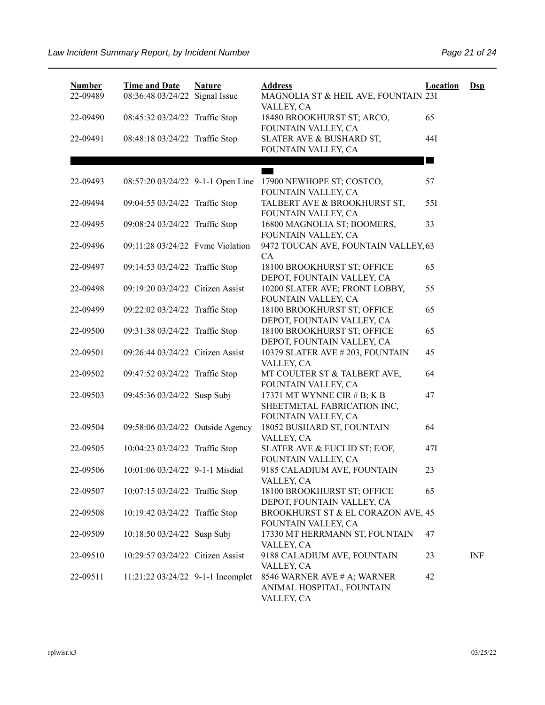| <b>Number</b><br>22-09489 | <b>Time and Date</b><br>08:36:48 03/24/22 Signal Issue | <b>Nature</b> | <b>Address</b><br>MAGNOLIA ST & HEIL AVE, FOUNTAIN 23I<br>VALLEY, CA              | <b>Location</b> | $\mathbf{Dsp}$ |
|---------------------------|--------------------------------------------------------|---------------|-----------------------------------------------------------------------------------|-----------------|----------------|
| 22-09490                  | 08:45:32 03/24/22 Traffic Stop                         |               | 18480 BROOKHURST ST; ARCO,<br>FOUNTAIN VALLEY, CA                                 | 65              |                |
| 22-09491                  | 08:48:18 03/24/22 Traffic Stop                         |               | SLATER AVE & BUSHARD ST,<br>FOUNTAIN VALLEY, CA                                   | 44I             |                |
|                           |                                                        |               |                                                                                   |                 |                |
| 22-09493                  | 08:57:20 03/24/22 9-1-1 Open Line                      |               | 17900 NEWHOPE ST; COSTCO,                                                         | 57              |                |
| 22-09494                  | 09:04:55 03/24/22 Traffic Stop                         |               | FOUNTAIN VALLEY, CA<br>TALBERT AVE & BROOKHURST ST,<br>FOUNTAIN VALLEY, CA        | 55I             |                |
| 22-09495                  | 09:08:24 03/24/22 Traffic Stop                         |               | 16800 MAGNOLIA ST; BOOMERS,<br>FOUNTAIN VALLEY, CA                                | 33              |                |
| 22-09496                  | 09:11:28 03/24/22 Fvmc Violation                       |               | 9472 TOUCAN AVE, FOUNTAIN VALLEY, 63<br>CA                                        |                 |                |
| 22-09497                  | 09:14:53 03/24/22 Traffic Stop                         |               | 18100 BROOKHURST ST; OFFICE<br>DEPOT, FOUNTAIN VALLEY, CA                         | 65              |                |
| 22-09498                  | 09:19:20 03/24/22 Citizen Assist                       |               | 10200 SLATER AVE; FRONT LOBBY,<br>FOUNTAIN VALLEY, CA                             | 55              |                |
| 22-09499                  | 09:22:02 03/24/22 Traffic Stop                         |               | 18100 BROOKHURST ST; OFFICE<br>DEPOT, FOUNTAIN VALLEY, CA                         | 65              |                |
| 22-09500                  | 09:31:38 03/24/22 Traffic Stop                         |               | 18100 BROOKHURST ST; OFFICE<br>DEPOT, FOUNTAIN VALLEY, CA                         | 65              |                |
| 22-09501                  | 09:26:44 03/24/22 Citizen Assist                       |               | 10379 SLATER AVE # 203, FOUNTAIN<br>VALLEY, CA                                    | 45              |                |
| 22-09502                  | 09:47:52 03/24/22 Traffic Stop                         |               | MT COULTER ST & TALBERT AVE,<br>FOUNTAIN VALLEY, CA                               | 64              |                |
| 22-09503                  | 09:45:36 03/24/22 Susp Subj                            |               | 17371 MT WYNNE CIR # B; K B<br>SHEETMETAL FABRICATION INC,<br>FOUNTAIN VALLEY, CA | 47              |                |
| 22-09504                  | 09:58:06 03/24/22 Outside Agency                       |               | 18052 BUSHARD ST, FOUNTAIN<br>VALLEY, CA                                          | 64              |                |
| 22-09505                  | 10:04:23 03/24/22 Traffic Stop                         |               | SLATER AVE & EUCLID ST; E/OF,<br>FOUNTAIN VALLEY, CA                              | 47I             |                |
| 22-09506                  | 10:01:06 03/24/22 9-1-1 Misdial                        |               | 9185 CALADIUM AVE, FOUNTAIN<br>VALLEY, CA                                         | 23              |                |
| 22-09507                  | 10:07:15 03/24/22 Traffic Stop                         |               | 18100 BROOKHURST ST; OFFICE<br>DEPOT, FOUNTAIN VALLEY, CA                         | 65              |                |
| 22-09508                  | 10:19:42 03/24/22 Traffic Stop                         |               | BROOKHURST ST & EL CORAZON AVE, 45<br>FOUNTAIN VALLEY, CA                         |                 |                |
| 22-09509                  | 10:18:50 03/24/22 Susp Subj                            |               | 17330 MT HERRMANN ST, FOUNTAIN<br>VALLEY, CA                                      | 47              |                |
| 22-09510                  | 10:29:57 03/24/22 Citizen Assist                       |               | 9188 CALADIUM AVE, FOUNTAIN<br>VALLEY, CA                                         | 23              | <b>INF</b>     |
| 22-09511                  | 11:21:22 03/24/22 9-1-1 Incomplet                      |               | 8546 WARNER AVE # A; WARNER<br>ANIMAL HOSPITAL, FOUNTAIN<br>VALLEY, CA            | 42              |                |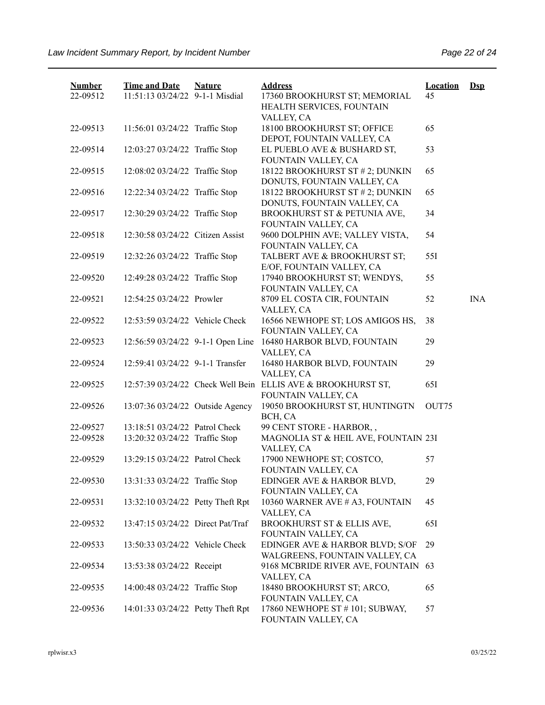| <b>Number</b> | <b>Time and Date</b>              | <b>Nature</b> | <b>Address</b>                                                                      | <b>Location</b> | $Ds$       |
|---------------|-----------------------------------|---------------|-------------------------------------------------------------------------------------|-----------------|------------|
| 22-09512      | 11:51:13 03/24/22 9-1-1 Misdial   |               | 17360 BROOKHURST ST; MEMORIAL<br>HEALTH SERVICES, FOUNTAIN<br>VALLEY, CA            | 45              |            |
| 22-09513      | 11:56:01 03/24/22 Traffic Stop    |               | 18100 BROOKHURST ST; OFFICE<br>DEPOT, FOUNTAIN VALLEY, CA                           | 65              |            |
| 22-09514      | 12:03:27 03/24/22 Traffic Stop    |               | EL PUEBLO AVE & BUSHARD ST,<br>FOUNTAIN VALLEY, CA                                  | 53              |            |
| 22-09515      | 12:08:02 03/24/22 Traffic Stop    |               | 18122 BROOKHURST ST # 2; DUNKIN<br>DONUTS, FOUNTAIN VALLEY, CA                      | 65              |            |
| 22-09516      | 12:22:34 03/24/22 Traffic Stop    |               | 18122 BROOKHURST ST # 2; DUNKIN<br>DONUTS, FOUNTAIN VALLEY, CA                      | 65              |            |
| 22-09517      | 12:30:29 03/24/22 Traffic Stop    |               | BROOKHURST ST & PETUNIA AVE,<br>FOUNTAIN VALLEY, CA                                 | 34              |            |
| 22-09518      | 12:30:58 03/24/22 Citizen Assist  |               | 9600 DOLPHIN AVE; VALLEY VISTA,<br>FOUNTAIN VALLEY, CA                              | 54              |            |
| 22-09519      | 12:32:26 03/24/22 Traffic Stop    |               | TALBERT AVE & BROOKHURST ST;<br>E/OF, FOUNTAIN VALLEY, CA                           | 55I             |            |
| 22-09520      | 12:49:28 03/24/22 Traffic Stop    |               | 17940 BROOKHURST ST; WENDYS,<br>FOUNTAIN VALLEY, CA                                 | 55              |            |
| 22-09521      | 12:54:25 03/24/22 Prowler         |               | 8709 EL COSTA CIR, FOUNTAIN<br>VALLEY, CA                                           | 52              | <b>INA</b> |
| 22-09522      | 12:53:59 03/24/22 Vehicle Check   |               | 16566 NEWHOPE ST; LOS AMIGOS HS,<br>FOUNTAIN VALLEY, CA                             | 38              |            |
| 22-09523      | 12:56:59 03/24/22 9-1-1 Open Line |               | 16480 HARBOR BLVD, FOUNTAIN<br>VALLEY, CA                                           | 29              |            |
| 22-09524      | 12:59:41 03/24/22 9-1-1 Transfer  |               | 16480 HARBOR BLVD, FOUNTAIN<br>VALLEY, CA                                           | 29              |            |
| 22-09525      |                                   |               | 12:57:39 03/24/22 Check Well Bein ELLIS AVE & BROOKHURST ST,<br>FOUNTAIN VALLEY, CA | 65I             |            |
| 22-09526      | 13:07:36 03/24/22 Outside Agency  |               | 19050 BROOKHURST ST, HUNTINGTN<br>BCH, CA                                           | OUT75           |            |
| 22-09527      | 13:18:51 03/24/22 Patrol Check    |               | 99 CENT STORE - HARBOR,,                                                            |                 |            |
| 22-09528      | 13:20:32 03/24/22 Traffic Stop    |               | MAGNOLIA ST & HEIL AVE, FOUNTAIN 23I<br>VALLEY, CA                                  |                 |            |
| 22-09529      | 13:29:15 03/24/22 Patrol Check    |               | 17900 NEWHOPE ST; COSTCO,<br>FOUNTAIN VALLEY, CA                                    | 57              |            |
| 22-09530      | 13:31:33 03/24/22 Traffic Stop    |               | EDINGER AVE & HARBOR BLVD,<br>FOUNTAIN VALLEY, CA                                   | 29              |            |
| 22-09531      | 13:32:10 03/24/22 Petty Theft Rpt |               | 10360 WARNER AVE # A3, FOUNTAIN<br>VALLEY, CA                                       | 45              |            |
| 22-09532      | 13:47:15 03/24/22 Direct Pat/Traf |               | BROOKHURST ST & ELLIS AVE,<br>FOUNTAIN VALLEY, CA                                   | 65I             |            |
| 22-09533      | 13:50:33 03/24/22 Vehicle Check   |               | EDINGER AVE & HARBOR BLVD; S/OF<br>WALGREENS, FOUNTAIN VALLEY, CA                   | 29              |            |
| 22-09534      | 13:53:38 03/24/22 Receipt         |               | 9168 MCBRIDE RIVER AVE, FOUNTAIN 63<br>VALLEY, CA                                   |                 |            |
| 22-09535      | 14:00:48 03/24/22 Traffic Stop    |               | 18480 BROOKHURST ST; ARCO,<br>FOUNTAIN VALLEY, CA                                   | 65              |            |
| 22-09536      | 14:01:33 03/24/22 Petty Theft Rpt |               | 17860 NEWHOPE ST # 101; SUBWAY,<br>FOUNTAIN VALLEY, CA                              | 57              |            |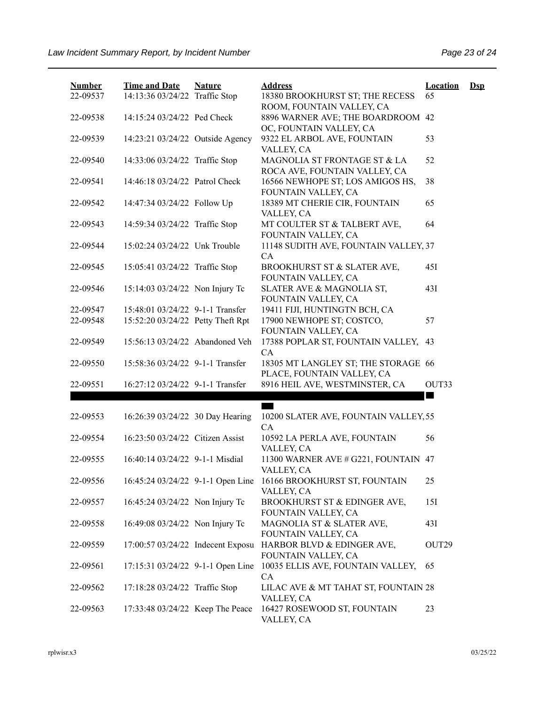| <b>Number</b> | <b>Time and Date</b>              | <b>Nature</b> | <b>Address</b>                                                                | <b>Location</b>      | $\mathbf{Dsp}$ |
|---------------|-----------------------------------|---------------|-------------------------------------------------------------------------------|----------------------|----------------|
| 22-09537      | 14:13:36 03/24/22 Traffic Stop    |               | 18380 BROOKHURST ST; THE RECESS<br>ROOM, FOUNTAIN VALLEY, CA                  | 65                   |                |
| 22-09538      | 14:15:24 03/24/22 Ped Check       |               | 8896 WARNER AVE; THE BOARDROOM 42                                             |                      |                |
| 22-09539      | 14:23:21 03/24/22 Outside Agency  |               | OC, FOUNTAIN VALLEY, CA<br>9322 EL ARBOL AVE, FOUNTAIN                        | 53                   |                |
|               |                                   |               | VALLEY, CA                                                                    |                      |                |
| 22-09540      | 14:33:06 03/24/22 Traffic Stop    |               | MAGNOLIA ST FRONTAGE ST & LA<br>ROCA AVE, FOUNTAIN VALLEY, CA                 | 52                   |                |
| 22-09541      | 14:46:18 03/24/22 Patrol Check    |               | 16566 NEWHOPE ST; LOS AMIGOS HS,                                              | 38                   |                |
| 22-09542      | 14:47:34 03/24/22 Follow Up       |               | FOUNTAIN VALLEY, CA<br>18389 MT CHERIE CIR, FOUNTAIN                          | 65                   |                |
|               |                                   |               | VALLEY, CA                                                                    |                      |                |
| 22-09543      | 14:59:34 03/24/22 Traffic Stop    |               | MT COULTER ST & TALBERT AVE,<br>FOUNTAIN VALLEY, CA                           | 64                   |                |
| 22-09544      | 15:02:24 03/24/22 Unk Trouble     |               | 11148 SUDITH AVE, FOUNTAIN VALLEY, 37                                         |                      |                |
|               |                                   |               | <b>CA</b>                                                                     |                      |                |
| 22-09545      | 15:05:41 03/24/22 Traffic Stop    |               | BROOKHURST ST & SLATER AVE,<br>FOUNTAIN VALLEY, CA                            | 45I                  |                |
| 22-09546      | 15:14:03 03/24/22 Non Injury Tc   |               | SLATER AVE & MAGNOLIA ST,                                                     | 43I                  |                |
| 22-09547      | 15:48:01 03/24/22 9-1-1 Transfer  |               | FOUNTAIN VALLEY, CA<br>19411 FIJI, HUNTINGTN BCH, CA                          |                      |                |
| 22-09548      | 15:52:20 03/24/22 Petty Theft Rpt |               | 17900 NEWHOPE ST; COSTCO,                                                     | 57                   |                |
|               |                                   |               | FOUNTAIN VALLEY, CA                                                           |                      |                |
| 22-09549      | 15:56:13 03/24/22 Abandoned Veh   |               | 17388 POPLAR ST, FOUNTAIN VALLEY,                                             | 43                   |                |
| 22-09550      | 15:58:36 03/24/22 9-1-1 Transfer  |               | <b>CA</b><br>18305 MT LANGLEY ST; THE STORAGE 66                              |                      |                |
|               |                                   |               | PLACE, FOUNTAIN VALLEY, CA                                                    |                      |                |
| 22-09551      | 16:27:12 03/24/22 9-1-1 Transfer  |               | 8916 HEIL AVE, WESTMINSTER, CA                                                | OUT33<br><b>STAR</b> |                |
|               |                                   |               |                                                                               |                      |                |
| 22-09553      | 16:26:39 03/24/22 30 Day Hearing  |               | 10200 SLATER AVE, FOUNTAIN VALLEY, 55                                         |                      |                |
| 22-09554      | 16:23:50 03/24/22 Citizen Assist  |               | <b>CA</b><br>10592 LA PERLA AVE, FOUNTAIN                                     | 56                   |                |
|               |                                   |               | VALLEY, CA                                                                    |                      |                |
| 22-09555      | 16:40:14 03/24/22 9-1-1 Misdial   |               | 11300 WARNER AVE # G221, FOUNTAIN 47                                          |                      |                |
| 22-09556      |                                   |               | VALLEY, CA<br>16:45:24 03/24/22 9-1-1 Open Line 16166 BROOKHURST ST, FOUNTAIN | 25                   |                |
|               |                                   |               | VALLEY, CA                                                                    |                      |                |
| 22-09557      | 16:45:24 03/24/22 Non Injury Tc   |               | BROOKHURST ST & EDINGER AVE,<br>FOUNTAIN VALLEY, CA                           | 151                  |                |
| 22-09558      | 16:49:08 03/24/22 Non Injury Tc   |               | MAGNOLIA ST & SLATER AVE,                                                     | 43I                  |                |
|               |                                   |               | FOUNTAIN VALLEY, CA                                                           |                      |                |
| 22-09559      | 17:00:57 03/24/22 Indecent Exposu |               | HARBOR BLVD & EDINGER AVE,<br>FOUNTAIN VALLEY, CA                             | OUT29                |                |
| 22-09561      | 17:15:31 03/24/22 9-1-1 Open Line |               | 10035 ELLIS AVE, FOUNTAIN VALLEY,                                             | 65                   |                |
| 22-09562      | 17:18:28 03/24/22 Traffic Stop    |               | <b>CA</b><br>LILAC AVE & MT TAHAT ST, FOUNTAIN 28                             |                      |                |
|               |                                   |               | VALLEY, CA                                                                    |                      |                |
| 22-09563      | 17:33:48 03/24/22 Keep The Peace  |               | 16427 ROSEWOOD ST, FOUNTAIN<br>VALLEY, CA                                     | 23                   |                |